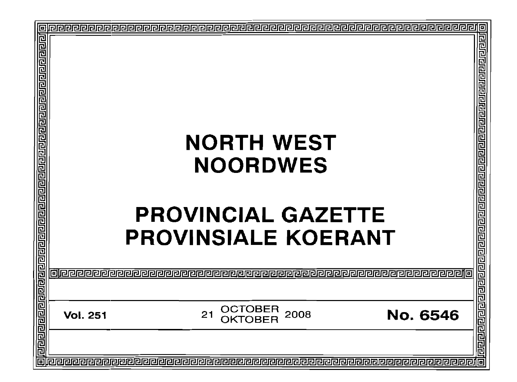| 回                                                                         | þ               |                                                                                                 |  |  |  |  |
|---------------------------------------------------------------------------|-----------------|-------------------------------------------------------------------------------------------------|--|--|--|--|
| <u>ग्वायागवान् वायानवान्ना सागवान्ना वायानानानानानानानानानानानानानाना</u> |                 | <b>NORTH WEST</b><br><b>NOORDWES</b><br><b>PROVINCIAL GAZETTE</b><br><b>PROVINSIALE KOERANT</b> |  |  |  |  |
|                                                                           |                 |                                                                                                 |  |  |  |  |
|                                                                           | <b>Vol. 251</b> | OCTOBER<br>21<br>2008<br>No. 6546                                                               |  |  |  |  |
| <u>II</u>                                                                 |                 |                                                                                                 |  |  |  |  |
|                                                                           |                 | 佪                                                                                               |  |  |  |  |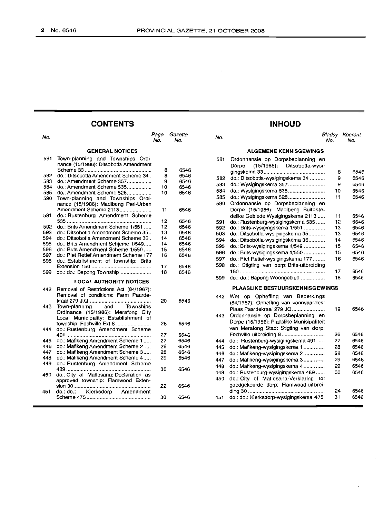**INHOUD**

### **CONTENTS**

#### No. Page Gazette No. No. No. Bladsy Koerant No. No. **GENERAL NOTICES** Town-planning and Townships Ordinance (15/1986): Ditsobotla Amendment Scheme 33 .. 582 do.: Ditsobotla Amendment Scheme 34.<br>583 do : Amendment Scheme 357 do.: Amendment Scheme 357................. 584 do.: Amendment Scheme 535.................<br>585 do.: Amendment Scheme 528.................. 585 do.: Amendment Scheme 528.................<br>590 Town-planning and Townships Ordi-Town-planning and Townships Ordinance (15/1986): Madibeng Peri-Urban Amendment Scheme 2113 . do.: Rustenburg Amendment Scheme . 592 do.: Brits Amendment Scheme 1/551 .....<br>593 do.: Ditsobotla Amendment Scheme 35... 593 do.: Ditsobotla Amendment Scheme 35...<br>594 do : Ditsobotla Amendment Scheme 36 do.: Ditsobotla Amendment Scheme 36. 595 do.: Brits Amendment Schjeme 1/549.....<br>596 do.: Brits Amendment Scheme 1/550..... 596 do.: Brits Amendment Scherne 1/550 .....<br>597 do.: Piet Retief Amendment Scheme 177 do.: Piet Retief Amendment Scheme 177 do.: Establishment of township: Brits Extension 150 . do.: do.: Bapong Township . **LOCAL AUTHORITY NOTICES** Removal of Restrictions Act (84/1967): Removal of conditions: Farm Paardekraal 279 J.Q . Town-planning and Townships Ordinance (15/1986): Merafong City Local Municipality: Establishment of township: Fochville Ext 8 ............ do.: Rustenburg Amendment Scheme . 445 do.: Mafikeng Amendment Scheme 1..... 446 do.: Mafikeng Amendment Scheme 2.....<br>447 do : Mafikeng Amendment Scheme 3 do.: Mafikeng Amendment Scheme 3..... 448 do.: Mafikeng Amendment Scheme 4..... do.: Rustenburg Amendment Scheme .. do.: City of Matlosana: Declaration as approved township: Flamwood Extension 30 . do.: do.: Klerksdorp Amendment Scheme 475 .. **ALGEMENE KENNISGEWINGS** Ordonnansie op Dorpsbeplanning en Dorpe (15/1986): Ditsobotla-wysigingskema 33.......................................... 8 do.: Ditsobotla-wysigingskema 34 .......... 9 do.: Wysigingskema 357......................... 9 do.: Wysigingskema 535......................... 10 do.: Wysigingskema 528......................... 11 Ordonnansie op Dorpsbeplanning en Dorpe (15/1986): Madibeng Buitestedelike Gebiede Wysigingskema 2113 ..... 11 do.: Rustenburg-wysigingskema 535 ...... 12<br>do.: Brits-wysigingskema 1/551 .............. 13 do.: Brits-wysigingskema 1/551 ............. do.: Ditsobotla-wysigingskema 35........... 13 do.: Ditsobotla-wysigingskema 36........... 14 do.: Brits-wysigingskema 1/549 15 do.: Brits-wysigingskema 1/550 15 do.: Piet Retief-wysigingskema 177......... 16 do.: Stigting van dorp: Brits-uitbreiding 150.......................................................... 17 do.: do.: Bapong Woongebied 18 **PLAASLIKE BESTUURSKENNISGEWINGS** Wet op Opheffing van Beperkings (84/1967): Opheffing van voorwaardes: Plaas Paardekraal 279 JQ...................... 19 Ordonnansie op Dorpsbeplanning en Dorpe (15/1986): Plaaslike Munisipaliteit van Merafong Stad: Stigting van dorp: Fochville-uitbreiding 8 26 do.: Rustenburg-wysigingskema 491 ..... 27 do.: Mafikeng-wysigingskema 1 ......... 28 do.: Mafikeng-wysigingskema 2.............. 28 do.: Mafikeng-wysigingskema 3.............. 29 do.: Mafikeng-wysigingskema 4.............. 29 do.: Rustenburg-wysigingskema 489...... 30 do.: City of Matlosana-Verklaring tot goedgekeurde dorp: Flamwood-uitbreiding 30 24 do.: do.: Klerksdorp-wysigingskema 475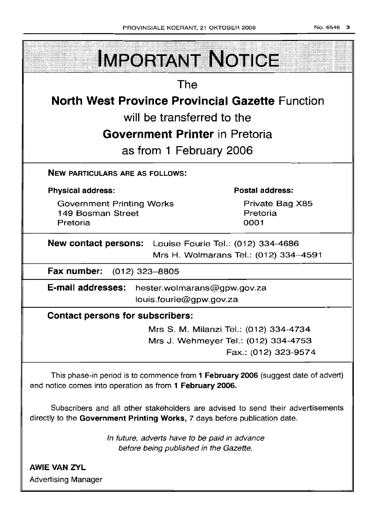**IMPORTANT NOTICE The North West Province Provincial Gazette Function will be transferred to the Government Printer in Pretoria as from 1 February 2006 NEW PABTICULARS ARE AS FOLLOWS: Postal address: Physical address:** Private Bag X85 Government Printing Works 149 Bosman Street Pretoria Pretoria 0001 **New contact persons:** Louise Fourie Tel.: (012) 334-4686 Mrs H. Wolmarans Tel.: (012) 334-4591 **Fax number:** (012) 323-8805 **E-mail addresses:** hester.wolmarans@gpw.gov.za louis.fourie@gpw.gov.za **Contact persons for subscribers:** Mrs S. M. Milanzi Tel.: (012) 334-4734 Mrs J. Wehmeyer Tel.: (012) 334-4753

Fax.: (012) 323-9574

This phase-in period is to commence from **1 February 2006** (suggest date of advert) and notice comes into operation as from **1 February 2006.**

Subscribers and all other stakeholders are advised to send their advertisements directly to the **Government Printing Works,** 7 days before publication date.

> In future, adverts have to be paid in advance before being published in the Gazette.

**AWIE VAN ZVL** Advertising Manager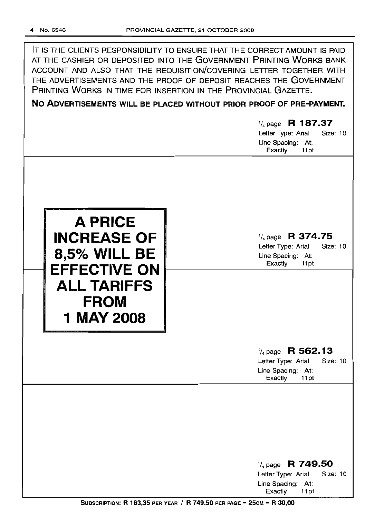IT IS THE CLIENTS RESPONSIBILITY TO ENSURE THAT THE CORRECT AMOUNT IS PAID AT THE CASHIER OR DEPOSITED INTO THE GOVERNMENT PRINTING WORKS BANK ACCOUNT AND ALSO THAT THE REQUISITION/COVERING LETTER TOGETHER WITH THE ADVERTISEMENTS AND THE PROOF OF DEPOSIT REACHES THE GOVERNMENT PRINTING WORKS IN TIME FOR INSERTION IN THE PROVINCIAL GAZETTE.

# **No ADVERTISEMENTS WILL BE PLACED WITHOUT PRIOR PROOF OF PRE-PAYMENT.**

|                                                                                                                                       | $\frac{1}{4}$ page R 187.37<br>Letter Type: Arial<br>Size: 10<br>Line Spacing: At:<br>Exactly<br>11pt        |
|---------------------------------------------------------------------------------------------------------------------------------------|--------------------------------------------------------------------------------------------------------------|
| <b>A PRICE</b><br><b>INCREASE OF</b><br><b>8,5% WILL BE</b><br><b>EFFECTIVE ON</b><br><b>ALL TARIFFS</b><br><b>FROM</b><br>1 MAY 2008 | $\frac{1}{4}$ page R 374.75<br>Letter Type: Arial<br><b>Size: 10</b><br>Line Spacing: At:<br>Exactly<br>11pt |
|                                                                                                                                       | $\frac{1}{4}$ page R 562.13<br>Size: 10<br>Letter Type: Arial<br>Line Spacing: At:<br>Exactly<br>11pt        |
|                                                                                                                                       | $\frac{1}{4}$ page R 749.50<br>Letter Type: Arial<br><b>Size: 10</b><br>Line Spacing: At:<br>Exactly<br>11pt |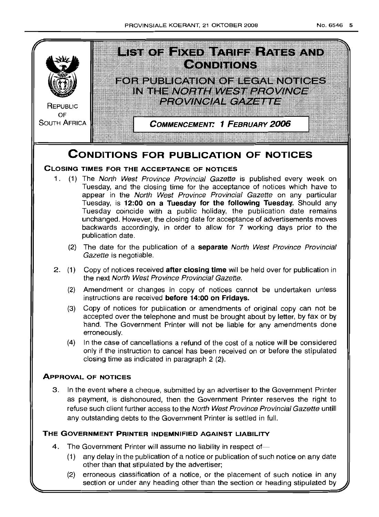

(2) erroneous classification of a notice, or the placement of such notice in any section or under any heading other than the section or heading stipulated by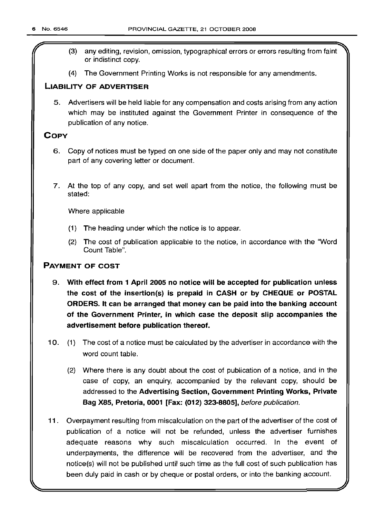- (3) any editing, revision, omission, typographical errors or errors resulting from faint or indistinct copy.
- (4) The Government Printing Works is not responsible for any amendments.

### LIABILITY OF ADVERTISER

5. Advertisers will be held liable for any compensation and costs arising from any action which may be instituted against the Government Printer in consequence of the publication of any notice.

### COpy

- 6. Copy of notices must be typed on one side of the paper only and may not constitute part of any covering letter or document.
- 7. At the top of any copy, and set well apart from the notice, the following must be stated:

Where applicable

- (1) The heading under which the notice is to appear.
- (2) The cost of publication applicable to the notice, in accordance with the "Word Count Table".

### PAYMENT OF COST

- 9. With effect from 1 April 2005 no notice will be accepted for publication unless the cost of the insertion(s) is prepaid in CASH or by CHEQUE or POSTAL ORDERS. It can be arranged that money can be paid into the banking account of the Government Printer, in which case the deposit slip accompanies the advertisement before publication thereof.
- 10. (1) The cost of a notice must be calculated by the advertiser in accordance with the word count table.
	- (2) Where there is any doubt about the cost of publication of a notice, and in the case of copy, an enquiry, accompanied by the relevant copy, should be addressed to the Advertising Section, Government Printing Works, Private Bag X85, Pretoria, 0001 [Fax: (012) 323-8805], before publication.
- 11. Overpayment resulting from miscalculation on the part of the advertiser of the cost of publication of a notice will not be refunded, unless the advertiser furnishes adequate reasons why such miscalculation occurred. In the event of underpayments, the difference will be recovered from the advertiser, and the notice(s) will not be published until such time as the full cost of such publication has been duly paid in cash or by cheque or postal orders, or into the banking account.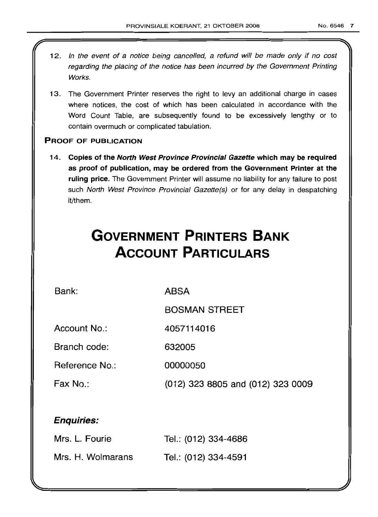- 12. In the event of a notice being cancelled, a refund will be made only if no cost regarding the placing of the notice has been incurred by the Government Printing Works.
- 13. The Government Printer reserves the right to levy an additional charge in cases where notices, the cost of which has been calculated in accordance with the Word Count Table, are subsequently found to be excessively lengthy or to contain overmuch or complicated tabulation.

### PROOF OF PUBLICATION

14. Copies of the North West Province Provincial Gazette which may be required as proof of publication, may be ordered from the Government Printer at the ruling price. The Government Printer will assume no liability for any failure to post such North West Province Provincial Gazette(s) or for any delay in despatching it/them.

# **GOVERNMENT PRINTERS BANK ACCOUNT PARTICULARS**

Bank:

ABSA

BOSMAN STREET

Account No.: 4057114016

Branch code: 632005

Reference No.: 00000050

Fax No.: (012) 323 8805 and (012) 323 0009

### Enquiries:

| Mrs. L. Fourie    | Tel.: (012) 334-4686 |
|-------------------|----------------------|
| Mrs. H. Wolmarans | Tel.: (012) 334-4591 |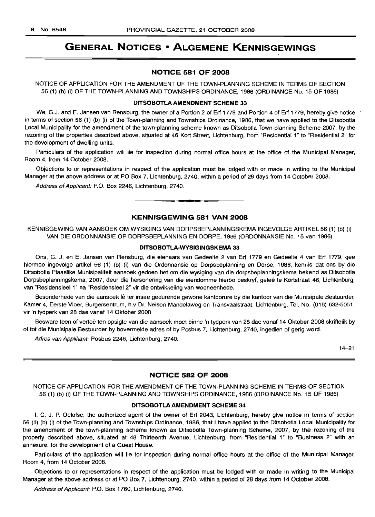### **GENERAL NOTICES • ALGEMENE KENNISGEWINGS**

### **NOTICE 581 OF 2008**

NOTICE OF APPLICATION FOR THE AMENDMENT OF THE TOWN-PLANNING SCHEME IN TERMS OF SECTION 56 (1) (b) (i) OF THE TOWN-PLANNING AND TOWNSHIPS ORDINANCE, 1986 (ORDINANCE No. 15 OF 1986)

### **DITSOBOTLAAMENDMENT SCHEME 33**

We, G.J. and E. Jansen van Rensburg, the owner of a Portion 2 of Erf 1779 and Portion 4 of Erf 1779, hereby give notice in terms of section 56 (1) (b) (i) of the Town-planning and Townships Ordinance, 1986, that we have applied to the Ditsobotla Local Municipality for the amendment of the town-planning scheme known as Ditsobotla Town-planning Scheme 2007, by the rezoning of the properties described above, situated at 46 Kort Street, Lichtenburg, from "Residential 1" to "Residential 2" for the development of dwelling units.

Particulars of the application will lie for inspection during normal office hours at the office of the Municipal Manager, Room 4, from 14 October 2008.

Objections to or representations in respect of the application must be lodged with or made in writing to the Municipal Manager at the above address or at PO Box 7, Lichtenburg, 2740, within a period of 28 days from 14 October 2008.

Address of Applicant: P.O. Box 2246, Lichtenburg, 2740. .**- .**

### **KENNISGEWING 581 VAN 2008**

KENNISGEWING VAN AANSOEK OM WYSIGING VAN DORPSBEPLANNINGSKEMA INGEVOLGE ARTIKEL 56 (1) (b) (i) VAN DIE ORDONNANSIE OP DORPSBEPLANNING EN DORPE, 1986 (ORDONNANSIE No. 15 van 1986)

### **DITSOBOTLA-WVSIGINGSKEMA 33**

Ons, G. J. en E. Jansen van Rensburg, die eienaars van Gedeelte 2 van Erf 1779 en Gedeelte 4 van Erf 1779, gee hiermee ingevolge artikel 56 (1) (b) (i) van die Ordonnansie op Dorpsbeplanning en Dorpe, 1986, kennis dat ons by die Ditsobotla Plaaslike Munisipaliteit aansoek gedoen het om die wysiging van die dorpsbeplanningskema bekend as Ditsobotla Dorpsbeplanningskema, 2007, deur die hersonering van die eiendomme hierbo beskryf, gelee te Kortstraat 46, Lichtenburg, van "Residensieel 1" na "Residensieel 2" vir die ontwikkeling van wooneenhede.

Besonderhede van die aansoek lê ter insae gedurende gewone kantoorure by die kantoor van die Munisipale Bestuurder, Kamer 4, Eerste Vloer, Burgersentrum, h.v Dr. Nelson Mandelaweg en Transvaalstraat, Lichtenburg. Tel. No. (018) 632-5051, vir 'n tydperk van 28 dae vanaf 14 Oktober 2008.

Besware teen of vertoë ten opsigte van die aansoek moet binne 'n tydperk van 28 dae vanaf 14 Oktober 2008 skriftelik by of tot die Munisipale Bestuurder by bovermelde adres of by Posbus 7, Lichtenburg, 2740, ingedien of gerig word.

Adres van Applikant: Posbus 2246, Lichtenburg, 2740.

14-21

### **NOTICE 582 OF 2008**

NOTICE OF APPLICATION FOR THE AMENDMENT OF THE TOWN-PLANNING SCHEME IN TERMS OF SECTION 56 (1) (b) (i) OF THE TOWN-PLANNING AND TOWNSHIPS ORDINANCE, 1986 (ORDINANCE No. 15 OF 1986)

### **DITSOBOTLA AMENDMENT SCHEME 34**

I, C. J. P. Oelofse, the authorized agent of the owner of Erf 2043, Lichtenburg, hereby give notice in terms of section 56 (1) (b) (i) of the Town-planning and Townships Ordinance, 1986, that I have applied to the Ditsobotla Local Municipality for the amendment of the town-planning scheme known as Ditsobotla Town-planning Scheme, 2007, by the rezoning of the property described above, situated at 48 Thirteenth Avenue, Lichtenburg, from "Residential 1" to "Business 2" with an annexure, for the development of a Guest House.

Particulars of the application will lie for inspection during normal office hours at the office of the Municipal Manager, Room 4, from 14 October 2008.

Objections to or representations in respect of the application must be lodged with or made in writing to the Municipal Manager at the above address or at PO Box 7, Lichtenburg, 2740, within a period of 28 days from 14 October 2008.

Address of Applicant: P.O. Box 1760, Lichtenburg, 2740.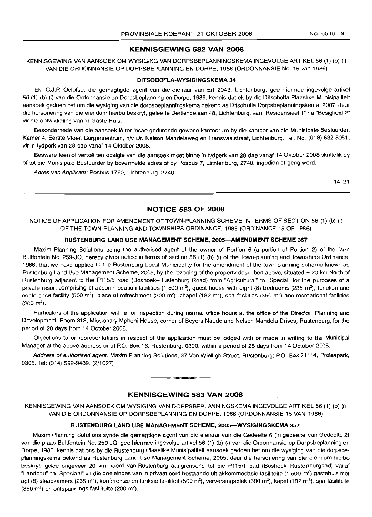### **KENNISGEWING 582 VAN 2008**

KENNISGEWING VAN AANSOEK OM WYSIGING VAN DORPSBEPLANNINGSKEMA INGEVOLGE ARTIKEL 56 (1) (b) (i) VAN DIE ORDONNANSIE OP DORPSBEPLANNING EN DORPE, 1986 (ORDONNANSIE No. 15 van 1986)

### **DITSOBOTLA·WYSIGINGSKEMA 34**

Ek, C.J.P. Oelofse, die gemagtigde agent van die eienaar van Erf 2043, Lichtenburg, gee hiermee ingevolge artikel 56 (1) (b) (i) van die Ordonnansie op Dorpsbeplanning en Dorpe, 1986, kennis dat ek by die Ditsobotla Plaaslike Munisipaliteit aansoek gedoen het om die wysiging van die dorpsbeplanningskema bekend as Ditsobotla Dorpsbeplanningskema, 2007, deur die hersonering van die eiendom hierbo beskryf, geleë te Dertiendelaan 48, Lichtenburg, van "Residensieel 1" na "Besigheid 2" vir die ontwikkeling van 'n Gaste Huis.

Besonderhede van die aansoek lê ter insae gedurende gewone kantoorure by die kantoor van die Munisipale Bestuurder, Kamer 4, Eerste Vloer, Burgersentrum, h/v Dr. Nelson Mandelaweg en Transvaalstraat, Lichtenburg. Tel. No. (018) 632-5051, vir 'n tydperk van 28 dae vanaf 14 Oktober 2008.

Besware teen of vertoë ten opsigte van die aansoek moet binne 'n tydperk van 28 dae vanaf 14 Oktober 2008 skriftelik by of tot die Munisipale Bestuurder by bovermelde adres of by Posbus 7, Lichtenburg, 2740, ingedien of gerig word.

Adres van Applikant: Posbus 1760, Lichtenburg, 2740.

14-21

### **NOTICE 583 OF 2008**

### NOTICE OF APPLICATION FOR AMENDMENT OF TOWN-PLANNING SCHEME IN TERMS OF SECTION 56 (1) (b) (i) OF THE TOWN-PLANNING AND TOWNSHIPS ORDINANCE, 1986 (ORDINANCE 15 OF 1986)

### **RUSTENBURG LAND USE MANAGEMENT SCHEME, 2005-AMENDMENT SCHEME 357**

Maxim Planning Solutions being the authorised agent of the owner of Portion 6 (a portion of Portion 2) of the farm Bultfontein No. 259-JQ, hereby gives notice in terms of section 56 (1) (b) (i) of the Town-planning and Townships Ordinance, 1986, that we have applied to the Rustenburg Local Municipality for the amendment of the town-planning scheme known as Rustenburg Land Use Management Scheme, 2005, by the rezoning of the property described above, situated  $\pm$  20 km North of Rustenburg adjacent to the P115/5 road (Boshoek-Rustenburg Road) from "Agricultural" to "Special" for the purposes of a private resort comprising of accommodation facilities (1 500 m<sup>2</sup>), quest house with eight (8) bedrooms (235 m<sup>2</sup>), function and conference facility (500 m<sup>2</sup>), place of refreshment (300 m<sup>2</sup>), chapel (182 m<sup>2</sup>), spa facilities (350 m<sup>2</sup>) and recreational facilities  $(200 \text{ m}^2)$ .

Particulars of the application will lie for inspection during normal office hours at the office of the Director: Planning and Development, Room 313, Missionary Mpheni House, corner of Beyers Naude and Nelson Mandela Drives, Rustenburg, for the period of 28 days from 14 October 2008.

Objections to or representations in respect of the application must be lodged with or made in writing to the Municipal Manager at the above address or at P.O. Box 16, Rustenburg, 0300, within a period of 28 days from 14 October 2008.

Address of authorised agent: Maxim Planning Solutions, 37 Von Wielligh Street, Rustenburg; P.O. Box 21114, Proteapark, 0305. Tel: (014) 592-9489. (2/1027)

**KENNISGEWING 583 VAN 2008**

**• •**

KENNISGEWING VAN AANSOEK OM WYSIGING VAN DORPSBEPLANNINGSKEMA INGEVOLGE ARTIKEL 56 (1) (b) (i) VAN DIE OHDONNANSIE OP DORPSBEPLANNING EN DORPE, 1986 (ORDONNANSIE 15 VAN 1986)

### **RUSTENBURG LAND USE MANAGEMENT SCHEME, 2005-WYSIGINGSKEMA 357**

Maxim Planning Solutions synde die gemagtigde agent van die eienaar van die Gedeelte 6 ('n gedeelte van Gedeelte 2) van die plaas Bultfontein No. 259-JQ, gee hiermee ingevolge artikel 56 (1) (b) (i) van die Ordonnansie op Dorpsbeplanning en Dorpe, 1986, kennis dat ons by die Rustenburg Plaaslike Munisipaliteit aansoek gedoen het om die wysiging van die dorpsbeplanningskema bekend as Rustenburg Land Use Management Scheme, 2005, deur die hersonering van die eiendom hierbo beskryf, geleë ongeveer 20 km noord van Rustenburg aangrensend tot die P115/1 pad (Boshoek--Rustenburgpad) vanaf "Landbou" na "Spesiaal" vir die doeleindes van 'n privaat oord bestaande uit akkommodasie fasiliteite (1 500 m<sup>2</sup>) gastehuis met agt (8) slaapkamers (235 m²), konferensie en funksie fasiliteit (500 m²), verversingsplek (300 m²), kapel (182 m²), spa-fasiliteite (350 m²) en ontspannings fasiliteite (200 m²).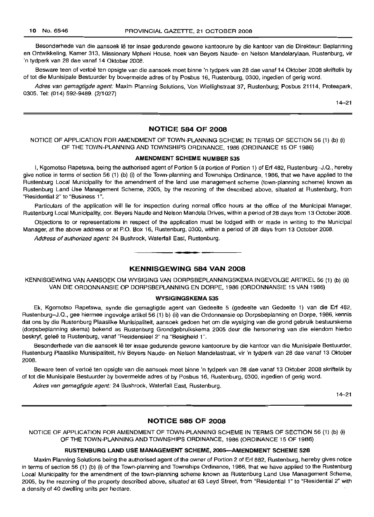Besonderhede van die aansoek lê ter insae gedurende gewone kantoorure by die kantoor van die Direkteur: Beplanning en Ontwikkeling, Kamer 313, Missionary Mpheni House, hoek van Beyers Naude- en Nelson Mandelarylaan, Rustenburg, vir 'n tydperk van 28 dae vanaf 14 Oktober 2008.

Besware teen of vertoë ten opsigte van die aansoek moet binne 'n tydperk van 28 dae vanaf 14 Oktober 2008 skriftelik by of tot die Munisipale Bestuurder by bovermelde adres of by Posbus 16, Rustenburg, 0300, ingedien of gerig word.

Adres van gemagtigde agent: Maxim Planning Solutions, Von Wiellighstraat 37, Rustenburg; Posbus 21114, Proteapark, 0305. Tel: (014) 592-9489. (2/1027)

 $14 - 21$ 

### **NOTICE 584 OF 2008**

NOTICE OF APPLICATION FOR AMENDMENT OF TOWN-PLANNING SCHEME IN TERMS OF SECTION 56 (1) (b) (i) OF THE TOWN-PLANNING AND TOWNSHIPS ORDINANCE, 1986 (ORDINANCE 15 OF 1986)

### **AMENDMENT SCHEME NUMBER 535**

I, Kgomotso Rapetswa, being the authorised agent of Portion 5 (a portion of Portion 1) of Erf 482, Rustenburg-J.Q., hereby give notice in terms of section 56 (1) (b) (i) of the Town-planning and Townships Ordinance, 1986, that we have applied to the Rustenburg Local Municipality for the amendment of the land use management scheme (town-planning scheme) known as Rustenburg Land Use Management Scheme, 2005, by the rezoning of the described above, situated at Rustenburg, from "Residential 2" to "Business 1".

Particulars of the application will lie for inspection during normal office hours at the office of the Municipal Manager, Rustenburg Local Municipality, cor. Beyers Naude and Nelson Mandela Drives, within a period of 28 days from 13 October 2008.

Objections to or representations in respect of the application must be lodged with or made in writing to the Municipal Manager, at the above address or at PO. Box 16, Rustenburg, 0300, within a period of 28 days from 13 October 2008.

Address of authorized agent: 24 Bushrock, Waterfall East, Rustenburg.

### **KENNISGEWING 584 VAN 2008**

**•**

KENNISGEWING VAN AANSOEK OM WYSIGING VAN DORPSBEPLANNINGSKEMA INGEVOLGE ARTIKEL 56 (1) (b) (ii) VAN DIE ORDONNANSIE OP DORPSBEPLANNING EN DORPE, 1986 (ORDONNANSIE 15 VAN 1986)

#### **WYSIGINGSKEMA 535**

Ek, Kgomotso Rapetswa, synde die gemagtigde agent van Gedeelte 5 (gedeelte van Gedeelte 1) van die Erf 482, Rustenburg-J.Q., gee hiermee ingevolge artikel 56 (1) b) (ii) van die Ordonnansie op Dorpsbeplanning en Dorpe, 1986, kennis dat ons by die Rustenburg Plaaslike Munisipaliteit, aansoek gedoen het om die wysiging van die grond gebruik bestuurskema (dorpsbeplanning skema) bekend as Rustenburg Grondgebruikskema 2005 deur die hersonering van die eiendom hierbo beskryf, geleë te Rustenburg, vanaf "Residensieel 2" na "Besigheid 1".

Besonderhede van die aansoek Ie ter insae gedurende gewone kantoorure by die kantoor van die Munisipale Bestuurder, Rustenburg Plaaslike Munisipaliteit, h/v Beyers Naude- en Nelson Mandelastraat, vir 'n tydperk van 28 dae vanaf 13 Oktober 2008.

Beware teen of vertoë ten opsigte van die aansoek moet binne 'n tydperk van 28 dae vanaf 13 Oktober 2008 skriftelik by of tot die Munisipale Bestuurder by bovermelde adres of by Posbus 16, Rustenburg, 0300, ingedien of gerig word.

Adres van gemagtigde agent: 24 Bushrock, Waterfall East, Rustenburg.

14-21

### **NOTICE 585 OF 2008**

NOTICE OF APPLICATION FOR AMENDMENT OF TOWN-PLANNING SCHEME IN TERMS OF SECTION 56 (1) (b) (i) OF THE TOWN-PLANNING AND TOWNSHIPS ORDINANCE, 1986 (ORDINANCE 15 OF 1986)

### **RUSTENBURG LAND USE MANAGEMENT SCHEME, 200S-AMENDMENT SCHEME 528**

Maxim Planning Solutions being the authorised agent of the owner of Portion 2 of Erf 882, Rustenburg, hereby gives notice in terms of section 56 (1) (b) (i) of the Town-planning and Townships Ordinance, 1986, that we have applied to the Rustenburg Local Municipality for the amendment of the town-planning scheme known as Rustenburg Land Use Management Scheme, 2005, by the rezoning of the property described above, situated at 63 Leyd Street, from "Residential 1" to "Residential 2" with a density of 40 dwelling units per hectare.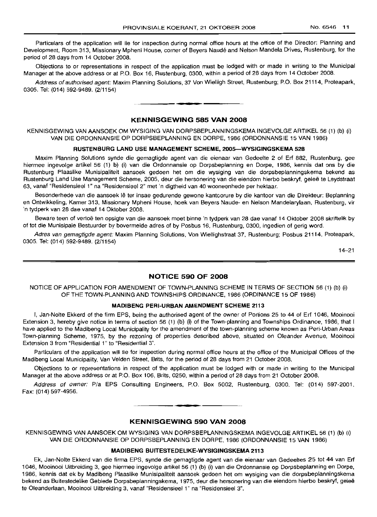Particulars of the application will lie for inspection during normal office hours at the office of the Director: Planning and Development, Room 313, Missionary Mpheni House, corner of Beyers Naudé and Nelson Mandela Drives, Rustenburg, for the period of 28 days from 14 October 2008.

Objections to or representations in respect of the application must be lodged with or made in writing to the Municipal Manager at the above address or at P.O. Box 16, Rustenburg, 0300, within a period of 28 days from 14 October 2008.

Address of authorised agent: Maxim Planning Solutions, 37 Von Wielligh Street, Rustenburg; P.O. Box 21114, Proteapark, 0305. Tel: (014) 592-9489. (2/1154)

### KENNISGEWING 585 VAN 2008

**•**

KENNISGEWING VAN AANSOEK OM WYSIGING VAN DORPSBEPLANNINGSKEMA INGEVOLGE ARTIKEL 56 (1) (b) (i) VAN DIE ORDONNANSIE OP DORPSBEPLANNING EN DORPE, 1986 (ORDONNANSIE 15 VAN 1986)

### RUSTENBURG LAND USE MANAGEMENT SCHEME, 2005-WYSIGINGSKEMA 528

Maxim Planning Solutions synde die gemagtigde agent van die eienaar van Gedeelte 2 of Erf 882, Rustenburg, gee hiermee ingevolge artikel 56 (1) b) (i) van die Ordonnansie op Dorpsbeplanning en Dorpe, 1986, kennis dat ons by die Rustenburg Plaaslike Munisipaliteit aansoek gedoen het om die wysiging van die dorpsbeplanningskema bekend as Rustenburg Land Use Management Scheme, 2005, deur die hersonering van die eiendom hierbo beskryf, qelee te Leydstraat 63, vanaf "Residensieel 1" na "Residensieel 2" met 'n digtheid van 40 wooneenhede per hektaar.

Besonderhede van die aansoek lê ter insae gedurende gewone kantoorure by die kantoor van die Direkteur: Beplanning en Ontwikkeling, Kamer 313, Missionary Mpheni House, hoek van Beyers Naude- en Nelson Mandelarylaan, Rustenburg, vir 'n tydperk van 28 dae vanaf 14 Oktober 2008.

Beware teen of vertoe ten opsigte van die aansoek moet binne 'n tydperk van 28 dae vanaf 14 Oktober 2008 skriftelik by of tot die Munisipale Bestuurder by bovermelde adres of by Posbus 16, Rustenburg, 0300, ingedien of gerig word.

Adres van gemagtigde agent: Maxim Planning Solutions, Von Wiellighstraat 37, Rustenburg; Posbus 21114, Proteapark, 0305. Tel: (014) 592-9489. (2/1154)

14-21

### NOTICE 590 OF 2008

NOTICE OF APPLICATION FOR AMENDMENT OF TOWN-PLANNING SCHEME IN TERMS OF SECTION 56 (1) (b) (i) OF THE TOWN-PLANNING AND TOWNSHIPS ORDINANCE, 1986 (ORDINANCE 15 OF 1986)

### MADIBENG PERI·URBAN AMENDMENT SCHEME 2113

I, Jan-Nolte Ekkerd of the firm EPS, being the authorised agent of the owner of Portions 25 to 44 of Erf 1046, Mooinooi Extension 3, hereby give notice in terms of section 56 (1) (b) (i) of the Town-planning and Townships Ordinance, 1986, that I have applied to the Madibeng Local Municipality for the amendment of the town-planning scheme known as Peri-Urban Areas Town-planning Scheme, 1975, by the rezoning of properties described above, situated on Oleander Avenue, Mooinooi Extension 3 from "Residential 1" to "Residential 3".

Particulars of the application will lie for inspection during normal office hours at the office of the Municipal Offices of the Madibeng Local Municipality, Van Velden Street, Brits, for the period of 28 days from 21 October 2008.

Objections to or representations in respect of the application must be lodged with or made in writing to the Municipal Manager at the above address or at P.O. Box 106, Brits, 0250, within a period of 28 days from 21 October 2008.

Address of owner: Pia EPS Consulting Engineers, P.O. Box 5002, Rustenburg, 0300. Tel: (014) 597-2001. Fax: (014) 597-4956.

### KENNISGEWING 590 VAN 2008

**•**

KENNISGEWING VAN AANSOEK OM WYSIGING VAN DORPSBEPLANNINGSKEMA INGEVOLGE ARTIKEL 56 (1) (b) (i) VAN DIE ORDONNANSIE OP DORPSBEPLANNING EN DORPE, 1986 (ORDONNANSIE 15 VAN 1986)

### MADIBENG BUITESTEDELIKE-WYSIGINGSKEMA 2113

Ek, Jan-Nolte Ekkerd van die firma EPS, synde die gemagtigde agent van die eienaar van Gedeeltes 25 tot 44 van Erf 1046, Mooinooi Uitbreiding 3, gee hiermee ingevolge artikel 56 (1) (b) (i) van die Ordonnansie op Dorpsbeplanning en Dorpe, 1986, kennis dat ek by Madibeng Plaaslike Munisipaliteit aansoek gedoen het om wysiging van die dorpsbeplanningskema bekend as Buitestedelike Gebiede Dorpsbeplanningskema, 1975, deur die hersonering van die eiendom hierbo beskryf, gelee te Oleanderlaan, Mooinooi Uitbreiding 3, vanaf "Residensieel 1" na "Residensieel 3".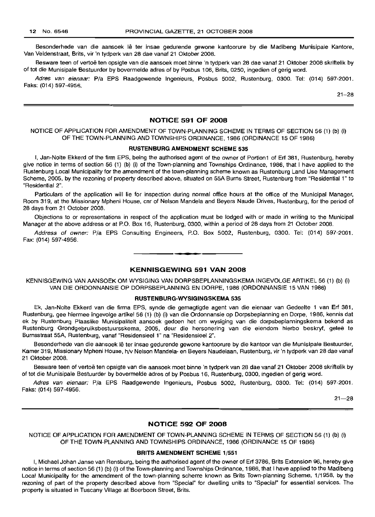Besonderhede van die aansoek lê ter insae gedurende gewone kantoorure by die Madibeng Munisipale Kantore, Van Veldenstraat, Brits, vir 'n tydperk van 28 dae vanaf 21 Oktober 2008.

Besware teen of vertoe ten opsigte van die aansoek moet binne 'n tydperk van 28 dae vanaf 21 Oktober 2008 skriftelik by of tot die Munisipale Bestuurder by bovermelde adres of by Posbus 106, Brits, 0250, ingedien of gerig word.

Adres van eienaar: P/a EPS Raadgewende Ingenieurs, Posbus 5002, Rustenburg, 0300. Tel: (014) 597-2001. Faks: (014) 597-4956.

21-28

### **NOTICE 591 OF 2008**

### NOTICE OF APPLICATION FOR AMENDMENT OF TOWN-PLANNING SCHEME IN TERMS OF SECTION 56 (1) (b) (i) OF THE TOWN-PLANNING AND TOWNSHIPS ORDINANCE, 1986 (ORDINANCE 15 OF 1986)

### **RUSTENBURG AMENDMENT SCHEME** 535

I, Jan-Nolte Ekkerd of the firm EPS, being the authorised agent of the owner of Portion1 of Erf 381, Rustenburg, hereby give notice in terms of section 56 (1) (b) (i) of the Town-planning and Townships Ordinance, 1986, that I have applied to the Rustenburg Local Municipality for the amendment of the town-planning scheme known as Rustenburg Land Use Management Scheme, 2005, by the rezoning of property described above, situated on 55A Burns Street, Rustenburg from "Residential 1" to "Residential 2".

Particulars of the application will lie for inspection during normal office hours at the office of the Municipal Manager, Room 319, at the Missionary Mpheni House, cnr of Nelson Mandela and Beyers Naude Drives, Rustenburg, for the period of 28 days from 21 October 2008.

Objections to or representations in respect of the application must be lodged with or made in writing to the Municipal Manager at the above address or at P.O. Box 16, Rustenburg, 0300, within a period of 28 days from 21 October 2008.

Address of owner: P/a EPS Consulting Engineers, P.O. Box 5002, Rustenburg, 0300. Tel: (014) 597-2001. Fax: (014) 597-4956.

### **KENNISGEWING 591 VAN 2008**

**•**

KENNISGEWING VAN AANSOEK OM WYSIGING VAN DORPSBEPLANNINGSKEMA INGEVOLGE ARTIKEL 56 (1) (b) (i) VAN DIE ORDONNANSIE OP DORPSBEPLANNING EN DORPE, 1986 (ORDONNANSIE 15 VAN 1986)

### **RUSTENBURG-WYSIGINGSKEMA** 535

Ek, Jan-Nolte Ekkerd van die firma EPS, synde die gemagtigde agent van die eienaar van Gedeelte 1 van Erf 381, Rustenburg, gee hiermee ingevolge artikel 56 (1) (b) (i) van die Ordonnansie op Dorpsbeplanning en Dorpe, 1986, kennis dat ek by Rustenburg Plaaslike Munisipaliteit aansoek gedoen het om wysiging van die dorpsbeplanningskema bekend as Rustenburg Grondgebruiksbestuursskema, 2005, deur die hersonering van die eiendom hierbo beskryf, gelee te Burnsstraat 55A, Rustenburg, vanaf "Residensieel 1" na "Residensieel 2".

Besonderhede van die aansoek lê ter insae gedurende gewone kantoorure by die kantoor van die Munisipale Bestuurder, Kamer 319, Missionary Mpheni House, h/v Nelson Mandela- en Beyers Naudelaan, Rustenburg, vir 'n tydperk van 28 dae vanaf 21 Oktober 2008.

Besware teen of vertoë ten opsigte van die aansoek moet binne 'n tydperk van 28 dae vanaf 21 Oktober 2008 skriftelik by of tot die Munisipale Bestuurder by bovermelde adres of by Posbus 16, Rustenburg, 0300, ingedien of gerig word.

Adres van eienaar: P/a EPS Raadgewende Ingenieurs, Posbus 5002, Rustenburg, 0300. Tel: (014) 597-2001. Faks: (014) 597-4956.

 $21 - 28$ 

### **NOTICE 592 OF 2008**

NOTICE OF APPLICATION FOR AMENDMENT OF TOWN-PLANNING SCHEME IN TERMS OF SECTION 56 (1) (b) (i) OF THE TOWN-PLANNING AND TOWNSHIPS ORDINANCE, 1986 (ORDINANCE 15 OF 1986)

#### **BRITS AMENDMENT SCHEME** 1/551

I, Michael Johan Janse van Rensburg, being the authorised agent of the owner of Erf 3786, Brits Extension 96, hereby give notice in terms of section 56 (1) (b) (i) of the Town-planning and Townships Ordinance, 1986, that I have applied to the Madibeng Local Municipality for the amendment of the town-planning scheme known as Brits Town-planning Scheme, 1/1958, by the rezoning of part of the property described above from "Special" for dwelling units to "Special" for essential services. The property is situated in Tuscany Village at Boerboon Street, Brits.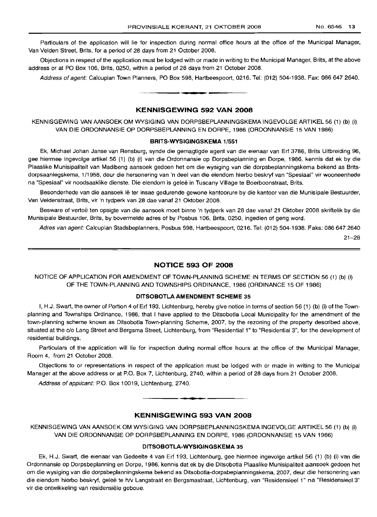Particulars of the application will lie for inspection during normal office hours at the office of the Municipal Manager, Van Velden Street, Brits, for a period of 28 days from 21 October 2008.

Objections in respect of the application must be lodged with or made in writing to the Municipal Manager, Brits, at the above address or at PO Box 106, Brits, 0250, within a period of 28 days from 21 October 2008.

Address of agent: Calcuplan Town Planners, PO Box 598, Hartbeespoort, 0216. Tel: (012) 504-1938. Fax: 086 647 2640.

### **KENNISGEWING 592 VAN 2008**

**-**

KENNISGEWING VAN AANSOEK OM WYSIGING VAN DORPSBEPLANNINGSKEMA INGEVOLGE ARTIKEL 56 (1) (b) (i) VAN DIE ORDONNANSIE OP DORPSBEPLANNING EN DORPE, 1986 (ORDONNANSIE 15 VAN 1986)

### **BRITS-WYSIGINGSKEMA** 1/551

Ek, Michael Johan Janse van Rensburg, synde die gemagtigde agent van die eienaar van Erf 3786, Brits Uitbreiding 96, gee hiermee ingevolge artikel 56 (1) (b) (i) van die Ordonnansie op Dorpsbeplanning en Dorpe, 1986, kennis dat ek by die Plaaslike Munisipaliteit van Madibeng aansoek gedoen het om die wysiging van die dorpsbeplanningskema bekend as Britsdorpsaanlegskema, 1/1958, deur die hersonering van 'n deer van die eiendom hierbo beskryf van "Spesiaal" vir wooneenhede na "Spesiaal" vir noodsaaklike dienste. Die eiendom is gelee in Tuscany Village te Boerboonstraat, Brits.

Besonderhede van die aansoek lê ter insae gedurende gewone kantoorure by die kantoor van die Munisipale Bestuurder, Van Veldenstraat, Brits, vir 'n tydperk van 28 dae vanaf 21 Oktober 2008.

Besware of vertoë ten opsigte van die aansoek moet binne 'n tydperk van 28 dae vanaf 21 Oktober 2008 skriftelik by die Munisipale Bestuurder, Brits, by bovermelde adres of by Posbus 106, Brits, 0250, ingedien of gerig word.

Adres van agent: Calcuplan Stadsbeplanners, Posbus 598, Hartbeespoort, 0216. Tel: (012) 504-1938. Faks: 0866472640

21-28

### **NOTICE 593 OF 2008**

NOTICE OF APPLICATION FOR AMENDMENT OF TOWN-PLANNING SCHEME IN TERMS OF SECTION 56 (1) (b) (i) OF THE TOWN-PLANNING AND TOWNSHIPS ORDINANCE, 1986 (ORDINANCE 15 OF 1986)

### **DITSOBOTLAAMENDMENT SCHEME** 35

I, H.J. Swart, the owner of Portion 4 of Erf 193, Lichtenburg, hereby give notice in terms of section 56 (1) (b) (i) of the Townplanning and Townships Ordinance, 1986, that I have applied to the Ditsobotla Local Municipality for the amendment of the town-planning scheme known as Ditsobotla Town-planning Scheme, 2007, by the rezoning of the property described above, situated at the c/o Lang Street and Bergsma Street, Lichtenburg, from "Residential 1" to "Residential 3", for the development of residential buildings.

Particulars of the application will lie for inspection during normal office hours at the office of the Municipal Manager, Room 4, from 21 October 2008.

Objections to or representations in respect of the application must be lodged with or made in writing to the Municipal Manager at the above address or at P.O. Box 7, Lichtenburg, 2740, within a period of 28 days from 21 October 2008.

Address of applicant: P.O. Box 10019, Lichtenburg, 2740.

### **KENNISGEWING 593 VAN 2008**

**• •**

KENNISGEWING VAN AANSOEK OM WYSIGING VAN DORPSBEPLANNINGSKEMA INGEVOLGE ARTIKEL 56 (1) (b) (i) VAN DIE ORDONNANSIE OP DORPSBEPLANNING EN DORPE, 1986 (ORDONNANSIE 15 VAN 1986)

### **DITSOBOTLA-WYSIGINGSKEMA** 35

Ek, H.J. Swart, die eienaar van Gedeelte 4 van Erf 193, Lichtenburg, gee hiermee ingevolge artikel 56 (1) (b) (i) van die Ordonnansie op Dorpsbeplanning en Dorpe, 1986, kennis dat ek by die Ditsobotla Plaaslike Munisipaliteit aansoek gedoen het om die wysiging van die dorpsbeplanningskema bekend as Ditsobotla-dorpsbeplanningskema, 2007, deur die hersonering van die eiendom hierbo beskryf, geleë te h/v Langstraat en Bergsmastraat, Lichtenburg, van "Residensieel 1" na "Residensieel 3" vir die ontwikkeling van residensiële geboue.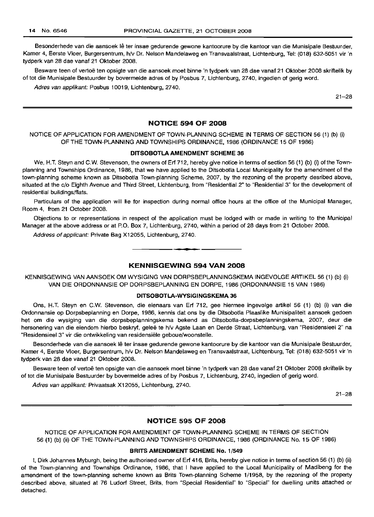Besonderhede van die aansoek Ie ter insae gedurende gewone kantoorure by die kantoor van die Munisipale Bestuurder, Kamer 4, Eerste Vloer, Burgersentrum, h/v Dr. Nelson Mandelaweg en Transvaalstraat, Lichtenburg, Tel: (018) 632-5051 vir 'n tydperk van 28 dae vanaf 21 Oktober 2008.

Besware teen of vertoe ten opsigte van die aansoek moet binne 'n tydperk van 28 dae vanaf 21 Oktober 2008 skriftelik by of tot die Munisipale Bestuurder by bovermelde adres of by Posbus 7, Lichtenburg, 2740, ingedien of gerig word.

Adres van applikant: Posbus 10019, Lichtenburg, 2740.

21-28

### **NOTICE 594 OF 2008**

### NOTICE OF APPLICATION FOR AMENDMENT OF TOWN-PLANNING SCHEME IN TERMS OF SECTION 56 (1) (b) (i) OF THE TOWN-PLANNING AND TOWNSHIPS ORDINANCE, 1986 (ORDINANCE 15 OF 1986)

### **DITSOBOTLA AMENDMENT SCHEME 36**

We, H.T. Steyn and C.W. Stevenson, the owners of Erf 712, hereby give notice in terms of section 56 (1) (b) (i) of the Townplanning and Townships Ordinance, 1986, that we have applied to the Ditsobotla Local Municipality for the amendment of the town-planning scheme known as Ditsobotla Town-planning Scheme, 2007, by the rezoning of the property desribed above, situated at the c/o Eighth Avenue and Third Street, Lichtenburg, from "Residential 2" to "Residential 3" for the development of residential buildings/flats.

Particulars of the application will lie for inspection during normal office hours at the office of the Municipal Manager, Room 4, from 21 October 2008.

Objections to or representations in respect of the application must be lodged with or made in writing to the Municipal Manager at the above address or at P.O. Box 7, Lichtenburg, 2740, within a period of 28 days from 21 October 2008.

Address of applicant: Private Bag X12055, Lichtenburg, 2740. .**- .**

### **KENNISGEWING 594 VAN 2008**

KENNISGEWING VAN AANSOEK OM WYSIGING VAN DORPSBEPLANNINGSKEMA INGEVOLGE ARTIKEL 56 (1) (b) (i) VAN DIE ORDONNANSIE OP DORPSBEPLANNING EN DORPE, 1986 (ORDONNANSIE 15 VAN 1986)

### **DITSOBOTLA-WYSIGINGSKEMA 36**

Ons, H.T. Steyn en C.w. Stevenson, die eienaars van Erf 712, gee hiermee ingevolge artikel 56 (1) (b) (i) van die Ordonnansie op Dorpsbeplanning en Dorpe, 1986, kennis dat ons by die Ditsobotla Plaaslike Munisipaliteit aansoek gedoen het om die wysiging van die dorpsbeplanningskema bekend as Ditsobotla-dorpsbeplanningskema, 2007, deur die hersonering van die eiendom hierbo beskryf, geleë te h/v Agste Laan en Derde Straat, Lichtenburg, van "Residensieel 2" na "Residensieel 3" vir die ontwikkeling van residensiële geboue/woonstelle.

Besonderhede van die aansoek Ie ter insae gedurende gewone kantoorure by die kantoor van die Munisipale Bestuurder, Kamer 4, Eerste Vloer, Burgersentrum, h/v Dr. Nelson Mandelaweg en Transvaalstraat, Lichtenburg, Tel: (018) 632-5051 vir 'n tydperk van 28 dae vanaf 21 Oktober 2008.

Besware teen of vertoë ten opsigte van die aansoek moet binne 'n tydperk van 28 dae vanaf 21 Oktober 2008 skriftelik by of tot die Munisipale Bestuurder by bovermelde adres of by Posbus 7, Lichtenburg, 2740, ingedien of gerig word.

Adres van applikant: Privaatsak X12055, Lichtenburg, 2740.

21-28

### **NOTICE 595 OF 2008**

NOTICE OF APPLICATION FOR AMENDMENT OF TOWN-PLANNING SCHEME IN TERMS OF SECTION 56 (1) (b) (ii) OF THE TOWN-PLANNING AND TOWNSHIPS ORDINANCE, 1986 (ORDINANCE No. 15 OF 1986)

### **BRITS AMENDMENT SCHEME No.** 1/549

I, Dirk Johannes Myburgh, being the authorised owner of Erf 416, Brits, hereby give notice in terms of section 56 (1) (b) (ii) of the Town-planning and Townships Ordinance, 1986, that I have applied to the Local Municipality of Madibeng for the amendment of the town-planning scheme known as Brits Town-planning Scheme 1/1958, by the rezoning of the property described above, situated at 76 Ludorf Street, Brits, from "Special Residential" to "Special" for dwelling units attached or detached.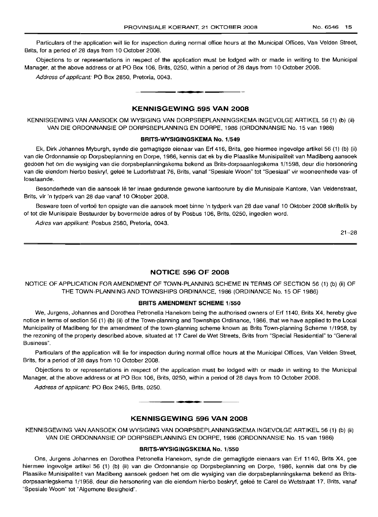Particulars of the application will lie for inspection during normal office hours at the Municipal Offices, Van Velden Street, Brits, for a period of 28 days from 10 October 2008.

Objections to or representations in respect of the application must be lodged with or made in writing to the Municipal Manager, at the above address or at PO Box 106, Brits, 0250, within a period of 28 days from 10 October 2008.

Address of applicant: PO Box 2850, Pretoria, 0043.

### **KENNISGEWING 595 VAN 2008**

**•**

KENNISGEWING VAN AANSOEK OM WYSIGING VAN DORPSBEPLANNINGSKEMA INGEVOLGE ARTIKEL 56 (1) (b) (ii) VAN DIE ORDONNANSIE OP DORPSBEPLANNING EN DORPE, 1986 (ORDONNANSIE No. 15 van 1986)

#### **BRITS-WYSIGINGSKEMA No.** 1/549

Ek, Dirk Johannes Myburgh, synde die gemagtigde eienaar van Erf 416, Brits, gee hiermee ingevolge artikel 56 (1) (b) (ii) van die Ordonnansie op Dorpsbeplanning en Dorpe, 1986, kennis dat ek by die Plaaslike Munisipaliteit van Madibeng aansoek gedoen het om die wysiging van die dorpsbeplanningskema bekend as Brits-dorpsaanlegskema 1/1598, deur die hersonering van die eiendom hierbo beskryf, geleë te Ludorfstraat 76, Brits, vanaf "Spesiale Woon" tot "Spesiaal" vir wooneenhede vas- of losstaande.

Besonderhede van die aansoek lê ter insae gedurende gewone kantoorure by die Munisipale Kantore, Van Veldenstraat, Brits, vir 'n tydperk van 28 dae vanaf 10 Oktober 2008.

Besware teen of vertoë ten opsigte van die aansoek moet binne 'n tydperk van 28 dae vanaf 10 Oktober 2008 skriftelik by of tot die Munisipale Bestuurder by bovermelde adres of by Posbus 106, Brits, 0250, ingedien word.

Adres van applikant: Posbus 2580, Pretoria, 0043.

21-28

### **NOTICE 596 OF 2008**

NOTICE OF APPLICATION FOR AMENDMENT OF TOWN-PLANNING SCHEME IN TERMS OF SECTION 56 (1) (b) (ii) OF THE TOWN-PLANNING AND TOWNSHIPS ORDINANCE, 1986 (ORDINANCE No. 15 OF 1986)

### **BRITS AMENDMENT SCHEME** 1/550

We, Jurgens, Johannes and Dorothea Petronella Hanekom being the authorised owners of Erf 1140, Brits X4, hereby give notice in terms of section 56 (1) (b) (ii) of the Town-planning and Townships Ordinance, 1986, that we have applied to the Local Municipality of Madibeng for the amendment of the town-planning scheme known as Brits Town-planning Scheme 1/1958, by the rezoning of the property described above, situated at 17 Carel de Wet Streets, Brits from "Special Residential" to "General Business".

Particulars of the application will lie for inspection during normal office hours at the Municipal Offices, Van Velden Street, Brits, for a period of 28 days from 10 October 2008.

Objections to or representations in respect of the application must be lodged with or made in writing to the Municipal Manager, at the above address or at PO Box 106, Brits, 0250, within a period of 28 days from 10 October 2008.

Address of applicant: PO Box 2465, Brits, 0250.



### **KENNISGEWING 596 VAN 2008**

KENNISGEWING VAN AANSOEK OM WYSIGING VAN DORPSBEPLANNINGSKEMA INGEVOLGE ARTIKEL 56 (1) (b) (ii) VAN DIE ORDONNANSIE OP DORPSBEPLANNING EN DORPE, 1986 (ORDONNANSIE No. 15 van 1986)

### **BRITS-WYSIGINGSKEMA No.** 1/550

Ons, Jurgens Johannes en Dorothea Petronella Hanekom, synde die gemagtigde eienaars van Erf 1140, Brits X4, gee hiermee ingevolge artikel 56 (1) (b) (ii) van die Ordonnansie op Dorpsbeplanning en Dorpe, 1986, kennis dat ons by die Plaaslike Munisipaliteit van Madibeng aansoek gedoen het om die wysiging van die dorpsbeplanningskema bekend as Britsdorpsaanlegskema 1/1958, deur die hersonering van die eiendom hierbo beskryf, geleë te Carel de Wetstraat 17, Brits, vanaf "Spesiale Woon" tot "Algemene Besigheid".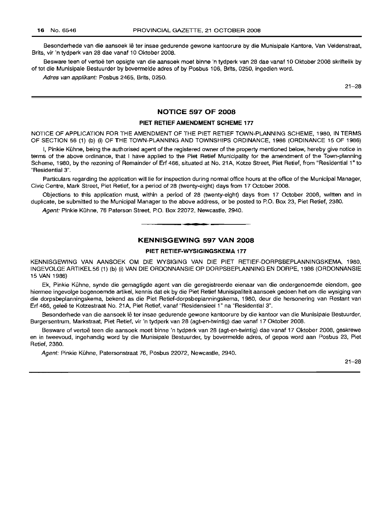Besonderhede van die aansoek lê ter insae gedurende gewone kantoorure by die Munisipale Kantore, Van Veldenstraat, Brits, vir 'n tydperk van 28 dae vanaf 10 Oktober 2008.

Besware teen of vertoe ten opsigte van die aansoek moet binne 'n tydperk van 28 dae vanaf 10 Oktober 2008 skriftelik by of tot die Munisipale Bestuurder by bovermelde adres of by Posbus 106, Brits, 0250, ingedien word.

Adres van applikant: Posbus 2465, Brits, 0250.

21-28

### **NOTICE 597 OF 2008**

### **PIET RETIEFAMENDMENT SCHEME 177**

NOTICE OF APPLICATION FOR THE AMENDMENT OF THE PIET RETIEF TOWN-PLANNING SCHEME, 1980, IN TERMS OF SECTION 56 (1) (b) (i) OF THE TOWN-PLANNING AND TOWNSHIPS ORDINANCE, 1986 (ORDINANCE 15 OF 1986)

I, Pinkie Kuhne, being the authorised agent of the registered owner of the property mentioned below, hereby give notice in terms of the above ordinance, that I have applied to the Piet Retief Municipality for the amendment of the Town-planning Scheme, 1980, by the rezoning of Remainder of Erf 466, situated at No. 21A, Kotze Street, Piet Retief, from "Residential 1" to "Residential 3".

Particulars regarding the application will lie for inspection during normal office hours at the office of the Municipal Manager, Civic Centre, Mark Street, Piet Retief, for a period of 28 (twenty-eight) days from 17 October 2008.

Objections to this application must, within a period of 28 (twenty-eight) days from 17 October 2008, written and in duplicate, be submitted to the Municipal Manager to the above address, or be posted to P.O. Box 23, Piet Retief, 2380.

Agent: Pinkie Kuhne, 76 Paterson Street, P.O. Box 22072, Newcastle, 2940. .**- .**

### **KENNISGEWING 597 VAN 2008**

### **PIET RETIEF-WYSIGINGSKEMA 177**

KENNISGEWING VAN AANSOEK OM DIE WYSIGING VAN DIE PIET RETIEF-DORPSBEPLANNINGSKEMA, 1980, INGEVOLGEARTIKEL56 (1) (b) (i) VAN DIE ORDONNANSIE OP DORPSBEPLANNING EN DORPE, 1986 (ORDONNANSIE 15 VAN 1986)

Ek, Pinkie Kuhne, synde die gemagtigde agent van die geregistreerde eienaar van die ondergenoemde eiendom, gee hiermee ingevolge bogenoemde artikel, kennis dat ek by die Piet Retief Munisipaliteit aansoek gedoen het om die wysiging van die dorpsbeplanningskema, bekend as die Piet Retief-dorpsbeplanningskema, 1980, deur die hersonering van Restant van Erf 466, geleë te Kotzestraat No. 21A, Piet Retief, vanaf "Residensieel 1" na "Residential 3".

Besonderhede van die aansoek lê ter insae gedurende gewone kantoorure by die kantoor van die Munisipale Bestuurder, Burgersentrum, Markstraat, Piet Retief, vir 'n tydperk van 28 (agt-en-twintig) dae vanaf 17 Oktober 2008.

Besware of vertoë teen die aansoek moet binne 'n tydperk van 28 (agt-en-twintig) dae vanaf 17 Oktober 2008, geskrewe en in tweevoud, ingehandig word by die Munisipale Bestuurder, by bovermelde adres, of gepos word aan Posbus 23, Piet Retief, 2380.

Agent: Pinkie Kühne, Patersonstraat 76, Posbus 22072, Newcastle, 2940.

21-28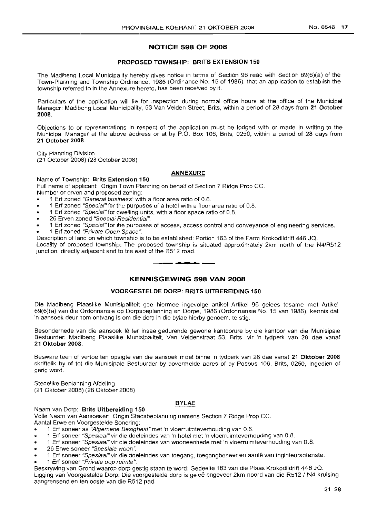### **NOTICE 598 OF 2008**

### PROPOSED TOWNSHIP: BRITS EXTENSION 150

The Madibeng Local Municipality hereby gives notice in terms of Section 96 read with Section 69(6)(a) of the Town-Planning and Township Ordinance, 1986 (Ordinance No. 15 of 1986), that an application to establish the township referred to in the Annexure hereto, has been received by it.

Particulars of the application will lie for inspection during normal office hours at the office of the Municipal Manager: Madibeng Local Municipality, 53 Van Velden Street, Brits, within a period of 28 days from 21 October 2008.

Objections to or representations in respect of the application must be lodged with or made in writing to the Municipal Manager at the above address or at by P.O. Box 106, Brits, 0250, within a period of 28 days from 21 October 2008.

City Planning Division (21 October 2008) (28 October 2008)

### ANNEXURE

Name of Township: Brits Extension 150

Full name of applicant: Origin Town Planning on behalf of Section 7 Ridge Prop CC. Number or erven and proposed zoning:

- 1 Erf zoned "General business"with a floor area ratio of 0.6.
- 1 Erf zoned "Speciaf"for the purposes of a hotel with a floor area ratio of 0.8.
- 1 Erf zoned "Specie!" for dwelling units, with a floor space ratio of 0.8.
- 26 Erven zoned "Special Residentiaf".
- 1 Erf zoned "Specia!" for the purposes of access, access control and conveyance of engineering services.
- 1 Erf zoned "Private Open Space".

Description of land on which township is to be established: Portion 163 of the Farm Krokodildrift 446 JQ. Locality of proposed township: The proposed township is situated approximately 2km north of the N4/R512 junction, directly adjacent and to the east of the R512 road. **-**

### **KENNISGEWING 598 VAN 2008**

### VOORGESTELDE DORP: BRITS UITBEREIDING 150

Die Madibeng Plaaslike Munisipaliteit gee hiermee ingevolge artikel Artikel 96 gelees tesame met Artikel 69(6)(a) van die Ordonnansie op Dorpsbeplanning en Dorpe, 1986 (Ordonnansie No. 15 van 1986), kennis dat 'n aansoek deur hom ontvang is om die dorp in die bylae hierby genoem, te stig.

Besonderhede van die aansoek lê ter insae gedurende gewone kantoorure by die kantoor van die Munisipale Bestuurder: Madibeng Plaaslike Munisipaliteit, Van Veldenstraat 53, Brits, vir 'n tydperk van 28 dae vanaf 21 Oktober 2008.

Besware teen of vertoe ten opsigte van die aansoek moet binne 'n tydperk van 28 dae vanaf 21 Oktober 2008 skriftelik by of tot die Munisipale Bestuurder by bovermelde adres of by Posbus 106, Brits, 0250, ingedien of gerig word.

Stedelike Beplanning Afdeling (21 Oktober 2008) (28 Oktober 2008)

### **BYLAE**

### Naam van Dorp: Brits Uitbereiding 150

Volle Naam van Aansoeker: Origin Stadsbeplanning namens Section 7 Ridge Prop CC.

Aantal Erwe en Voorgestelde Sonering:

- 1 Erf soneer as ''Algemene Besigheid" met 'n vloerruimteverhouding van 0.6.
- .. 1 Erf soneer "Spesiaal"vir die doeleindes van 'n hotel met 'n vloerruimteverhouding van 0.8.
- 1 Erf soneer "Spesiaaf" vir die doeleindes van wooneenhede met 'n vloerruimteverhouding van 0.8.
- 26 Erwe soneer "Spesiale woon ".
- 1 Erf soneer "Spesiaaf" vir die doeleindes van toegang, toegangbeheer en aanle van inginieursdienste.
- 1 Erf soneer "*Private oop ruimte"*.

Beskrywing van Grond waarop dorp gestig staan te word: Gedeelte 163 van die Plaas Krokodildrift 446 JQ. Ligging van Voorgestelde Dorp: Die voorgestelde dorp is gelee ongeveer 2km noord van die R512 / N4 kruising aangrensend en ten ooste van die R512 pad.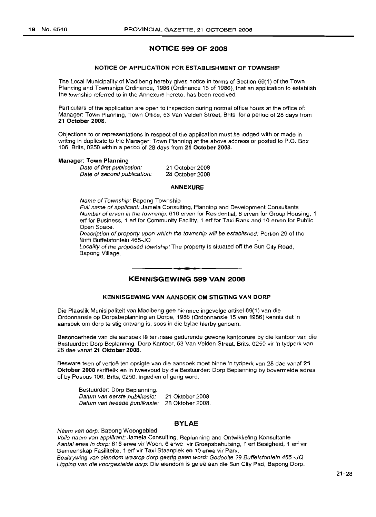### **NOTICE 599 OF 2008**

### **NOTICE OF APPLICATION FOR ESTABLISHMENT OF TOWNSHIP**

The Local Municipality of Madibeng hereby gives notice in terms of Section 69(1) of the Town Planning and Townships Ordinance, 1986 (Ordinance 15 of 1986), that an application to establish the township referred to in the Annexure hereto, has been received.

Particulars of the application are open to inspection during normal office hours at the office of: Manager: Town Planning, Town Office, 53 Van Velden Street, Brits for a period of 28 days from **21 October 2008.**

Objections to or representations in respect of the application must be lodged with or made in writing in duplicate to the Manager: Town Planning at the above address or posted to P.O. Box 106, Brits, 0250 within a period of 28 days from **21 October 2008.**

### **Manager: Town Planning**

Date of first publication: Date of second publication: 21 October 2008 28 October 2008

#### **ANNEXURE**

Name of Township: Bapong Township

Full name of applicant: Jamela Consulting, Planning and Development Consultants Number of erven in the township: 616 erven for Residential, 6 erven for Group Housing, 1 erf for Business, 1 erf for Community Facility, 1 erf for Taxi Rank and 10 erven for Public Open Space.

Description of property upon which the township will be established: Portion 29 of the farm Buffelsfontein 465-JQ

Locality of the proposed township: The property is situated off the Sun City Road, Bapong Village. .**- .**

### **KENNISGEWING 599 VAN 2008**

### **KENNISGEWING VAN AANSOEK OM STIGTING VAN DORP**

Die Plaaslik Munisipaliteit van Madibeng gee hiermee ingevolge artikel 69(1) van die Ordonnansie op Dorpsbeplanning en Dorpe, 1986 (Ordonnansie 15 van 1986) kennis dat 'n aansoek om dorp te stig ontvang is, soos in die bylae hierby genoem.

Besonderhede van die aansoek Ie ter insae gedurende gewone kantoorure by die kantoor van die Bestuurder: Dorp Beplanning, Dorp Kantoor, 53 Van Velden Straat, Brits. 0250 vir 'n tydperk van 28 dae vanaf **21 Oktober 2008.**

Besware teen of vertoe ten opsigte van die aansoek moet binne 'n tydperk van 28 dae vanaf **21 Oktober 2008** skriftelik en in tweevoud by die Bestuurder: Dorp Beplanning by bovermelde adres of by Posbus 106, Brits, 0250, ingedien of gerig word.

Bestuurder: Dorp Beplanning. Datum van eerste publikasie: 21 Oktober 2008 Datum van tweede publikasie: 28 Oktober 2008.

### **BYlAE**

Naam van dorp: Bapong Woongebied

Volle naam van applikant: Jamela Consulting, Beplanning and Ontwikkeling Konsultante Aantal erwe in dorp: 616 erwe vir Woon, 6 erwe vir Groepsbehuising, 1 erf Besigheid, 1 erf vir Gemeenskap Fasiliteite, 1 erf vir Taxi Staanplek en 10 erwe vir Park. Beskrywing van eiendom waarop dorp gestig gaan word: Gedeelte 29 Buffelsfontein 465 -JQ Ligging van die voorgestelde dorp: Die eiendom is geleë aan die Sun City Pad, Bapong Dorp.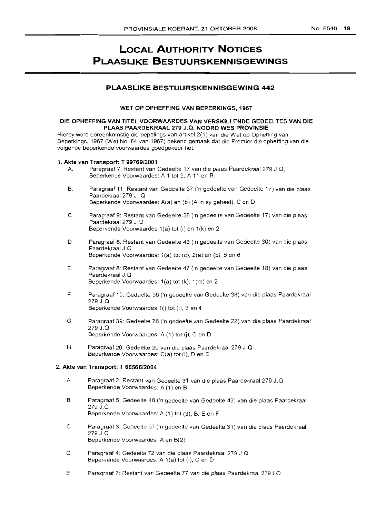# **LOCAL AUTHORITY NOTICES PLAASLIKE BESTUURSKENNISGEWINGS**

### **PLAASLIKE BESTUURSKENNISGEWING 442**

WET OP OPHEFFING VAN BEPERKINGS, 1967

### DIE OPHEFFING VAN TITEL VOORWAARDES VAN VERSKILLENDE GEDEELTES VAN DIE PLAAS PAARDEKRAAL 279 J.Q. NOORD WES PROVINSIE

Hierby word ooreenkomstig die bepalings van artikel 2(1) van die Wet op Opheffing van Beperkings, 1967 (Wet No. 84 van 1967) bekend gemaak dat die Premier die opheffing van die volgende beperkende voorwaardes goedgekeur het:

### 1. Akte van Transport: T *99769/2001*

- A. Paragraaf 7: Restant van Gedeelte 17 van die plaas Paardekraal 279 J.Q, Beperkende Voorwaardes: A 1 tot 9, A 11 en B.
- B. Paragraaf 11: Restant van Gedeelte 37 ('n gedeelte van Gedeelte 17) van die plaas Paardekraal 279 J. Q Beperkende Voorwaardes: A(a) en (b) (A in sy geheel), C en D
- C Paragraaf 9: Restant van Gedeelte 38 ('n gedeelte van Gedeelte 17) van die plaas Paardekraal 279 J.Q Beperkende Voorwaardes 1(a) tot (i) en 1(k) en 2
- D Paragraaf 6: Restant van Gedeelte 43 ('n gedeelte van Gedeelte 30) van die plaas Paardekraal J.Q Beperkende Voorwaardes: 1(a) tot (c), 2(a) en (b), 5 en 6
- E Paragraaf 8: Restant van Gedeelte 47 ('n gedeelte van Gedeelte 18) van die plaas Paardekraal J.Q Beperkende Voorwaardes: 1(a) tot (k), 1(m) en 2
- F Paragraaf 10: Gedeelte 56 ('n gedeelte van Gedeelte 38) van die plaas Paardekraal 279 J.Q Beperkende Voorwaardes 1() tot (i), 3 en 4
- G Paragraaf 39: Gedeelte 76 ('n gedeelte van Gedeelte 22) van die plaas Paardekraal 279 J.Q Beperkende Voorwaardes: A (1) tot (j), C en D
- H Paragraaf 20: Gedeelte 20 van die plaas Paardekraal 279 J.Q Beperkende Voorwaardes: C(a) tot (i), Den E

### 2. Akte van Transport: T *66566/2004*

- A. Paragraaf 2: Restant van Gedeelte 31 van die plaas Paardekraal 279 J.Q Beperkende Voorwaardes: A (1) en B
- B Paragraaf 5: Gedeelte 48 ('n gedeelte van Gedeelte 43) van die plaas Paardekraal 279 J.Q Beperkende Voorwaardes: A (1) tot (3), B, E en F
- C Paragraaf 3: Gedeelte 57 ('n gedeelte van Gedeelte 31) van die plaas Paardekraal 279 J.Q Beperkende Voorwaardes: A en B(2)
- D Paragraaf 4: Gedeelte 72 van die plaas Paardekraal 279 J.Q Beperkende Voorwaardes: A 1(a) tot (i), C en D
- E Paragraaf 7: Restant van Gedeelte 77 van die plaas Paardekraal 279 I.Q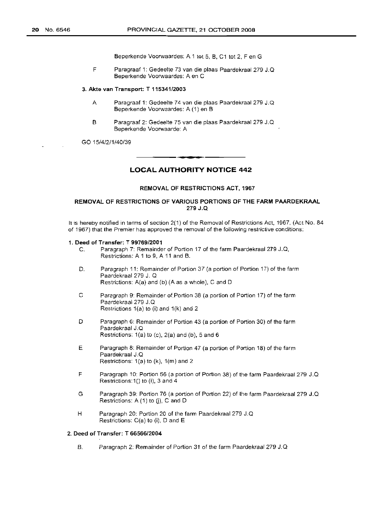Beperkende Voorwaardes: A 1 tot 5, B, C1 tot 2, F en G

F Paragraaf 1: Gedeelte 73 van die plaas Paardekraal 279 J.Q Beperkende Voorwaardes: A en C

#### 3. Akte van Transport: T 115341/2003

- A Paragraaf 1: Gedeelte 74 van die plaas Paardekraal 279 J.Q Beperkende Voorwaardes: A (1) en B
- B Paragraaf 2: Gedeelte 75 van die plaas Paardekraal 279 J.Q Beperkende Voorwaarde: A

GO 15/4/2/1/40/39

### **LOCAL AUTHORITY NOTICE 442**

.**- .**

#### REMOVAL OF RESTRICTIONS ACT, 1967

### REMOVAL OF RESTRICTIONS OF VARIOUS PORTIONS OF THE FARM PAARDEKRAAL 279 J.Q

It is hereby notified in terms of section 2(1) of the Removal of Restrictions Act, 1967, (Act No. 84 of 1967) that the Premier has approved the removal of the following restrictive conditions:

#### 1. Deed of Transfer: T *99769/2001*

- C. Paragraph 7: Remainder of Portion 17 of the farm Paardekraal 279 J.Q, Restrictions: A 1 to 9, A 11 and B.
- D. Paragraph 11: Remainder of Portion 37 (a portion of Portion 17) of the farm Paardekraal 279 J. Q Restrictions: A(a) and (b) (A as a whole), C and D
- C Paragraph 9: Remainder of Portion 38 (a portion of Portion 17) of the farm Paardekraal 279 J.Q Restrictions 1(a) to (i) and 1(k) and 2
- D Paragraph 6: Remainder of Portion 43 (a portion of Portion 30) of the farm Paardekraal J.Q Restrictions: 1(a) to (c), 2(a) and (b), 5 and 6
- E Paragraph 8: Remainder of Portion 47 (a portion of Portion 18) of the farm Paardekraal J.Q Restrictions: 1(a) to (k), 1(m) and 2
- F Paragraph 10: Portion 56 (a portion of Portion 38) of the farm Paardekraal 279 J.Q Restrictions:  $1()$  to (i), 3 and 4
- G Paragraph 39: Portion 76 (a portion of Portion 22) of the farm Paardekraal 279 J.Q Restrictions:  $A(1)$  to (j),  $C$  and  $D$
- H Paragraph 20: Portion 20 of the farm Paardekraal 279 J.Q Restrictions: C(a) to (i), D and E

### 2. Deed of Transfer: T *66566/2004*

B. Paragraph 2: Remainder of Portion 31 of the farm Paardekraal 279 J.Q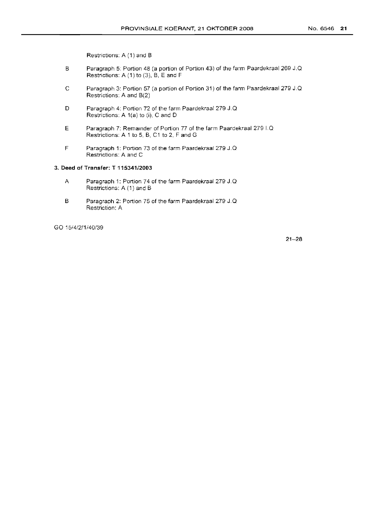Restrictions: A (1) and B

- B Paragraph 5: Portion 48 (a portion of Portion 43) of the farm Paardekraal 269 J.Q Restrictions: A (1) to (3), B, E and F
- C Paragraph 3: Portion 57 (a portion of Portion 31) of the farm Paardekraal 279 J.Q Restrictions: A and B(2)
- D Paragraph 4: Portion 72 of the farm Paardekraal 279 J.Q Restrictions: A  $1(a)$  to (i), C and D
- E Paragraph 7: Rernamder of Portion 77 of the farm Paardekraal 279 I.Q Restrictions: A 1 to 5, B, C1 to 2, F and G
- F Paragraph 1: Portion 73 of the farm Paardekraal 279 J.Q Restrictions: A and C

### 3. **Deed of Transfer: T 115341/2003**

- A Paragraph 1: Portion 74 of the farm Paardekraal 279 J.Q Restrictions: A (1) and B
- B Paragraph 2: Portion 75 of the farm Paardekraal 279 J.Q Restriction: A

GO 15/4/2/1/40/39

21-28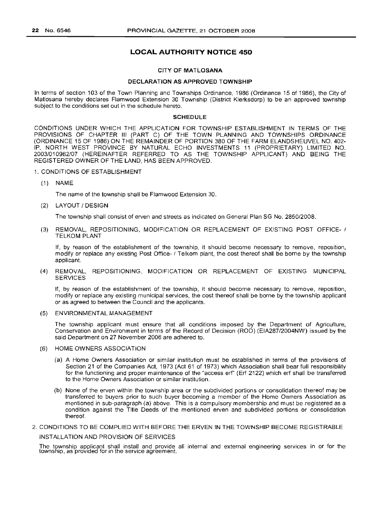### **LOCAL AUTHORITY NOTICE 450**

### CITY OF MATLOSANA

### DECLARATION AS APPROVED TOWNSHIP

In terms of section 103 of the Town Planning and Townships Ordinance, 1986 (Ordinance 15 of 1986), the City of Matlosana hereby declares Flamwood Extension 30 Township (District Klerksdorp) to be an approved township subject to the conditions set out in the schedule hereto.

#### **SCHEDULE**

CONDITIONS UNDER WHICH THE APPLICATION FOR TOWNSHIP ESTABLISHMENT IN TERMS OF THE PROVISIONS OF CHAPTER III (PART C) OF THE TOWN PLANNING AND TOWNSHIPS ORDINANCE (ORDINANCE 15 OF 1986) ON THE REMAINDER OF PORTION 380 OF THE FARM ELANDSHEUVEL NO. 402- IP, NORTH WEST PROVINCE BY NATURAL ECHO INVESTMENTS 11 (PROPRIETARY) LIMITED NO. *2003/010962/07* (HEREINAFTER REFERRED TO AS THE TOWNSHIP APPLICANT) AND BEING THE REGISTERED OWNER OF THE LAND, HAS BEEN APPROVED.

#### 1. CONDITIONS OF ESTABLISHMENT

(1) NAME

The name of the township shall be Flamwood Extension 30.

(2) LAYOUT / DESIGN

The township shall consist of erven and streets as indicated on General Plan SG No. *2850/2008.*

(3) REMOVAL, REPOSITIONING, MODIFICATION OR REPLACEMENT OF EXISTING POST OFFICE- 1 TELKOM PLANT

If, by reason of the establishment of the township, it should become necessary to remove, reposition, modify or replace any existing Post Office- 1Telkom plant, the cost thereof shall be borne by the township applicant.

(4) REMOVAL, REPOSITIONING, MODIFICATION OR REPLACEMENT OF EXISTING MUNICIPAL SERVICES

If, by reason of the establishment of the township, it should become necessary to remove, reposition, modify or replace any existing municipal services, the cost thereof shall be borne by the township applicant or as agreed to between the Council and the applicants.

(5) ENVIRONMENTAL MANAGEMENT

The township applicant must ensure that all conditions imposed by the Department of Agriculture, Conservation and Environment in terms of the Record of Decision (ROD) (EIA287/2004NW) issued by the said Department on 27 November 2006 are adhered to.

- (6) HOME OWNERS ASSOCIATION
	- (a) A Home Owners Association or similar institution must be established in terms of the provisions of Section 21 of the Companies Act, 1973 (Act 61 of 1973) which Association shall bear full responsibility for the functioning and proper maintenance of the "access erf' (Erf 2122) which erf shall be transferred to the Home Owners Association or similar institution.
	- (b) None of the erven within the township area or the subdivided portions or consolidation thereof may be transferred to buyers prior to such buyer becoming a member of the Home Owners Association as mentioned in sub-paragraph (a) above. This is a compulsory membership and must be registered as a condition against the Title Deeds of the mentioned erven and subdivided portions or consolidation thereof.
- 2. CONDITIONS TO BE COMPLIED WITH BEFORE THE ERVEN IN THE TOWNSHIP BECOME REGISTRABLE

INSTALLATION AND PROVISION OF SERVICES

The township applicant shall install and provide all internal and external engineering services in or for the township, as provided for in the service agreement.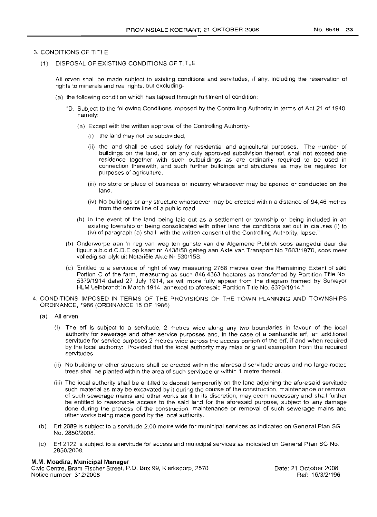### 3. CONDITIONS OF TITLE

(1) DISPOSAL OF EXISTING CONDITIONS OF TITLE

All erven shall be made subject to existing conditions and servitudes, if any, including the reservation of rights to minerals and real rights. but excluding-

- (a) the following condition which has lapsed through fulfilment of condition:
	- "D. Subject to the following Conditions imposed by the Controlling Authority in terms of Act 21 of 1940, namely:
		- (a) Except with the written approval of the Controlling Authority-
			- (i) the land may not be subdivided,
			- (ii) the land shall be used solely for residential and agricultural purposes. The number of buildings on the land, or on any duly approved subdivision thereof, shall not exceed one residence together with such outbuildings as are ordinarily required to be used in connection therewith, and such further buildings and structures as may be required for purposes of agriculture.
			- (iii) no store or place of business or industry whatsoever may be opened or conducted on the land.
			- (iv) No buildings or any structure whatsoever may be erected within a distance of 94,46 metres from the centre line of a public road.
		- (b) In the event of the land being laid out as a settlement or township or being included in an existing township or being consolidated with other land the conditions set out in clauses (i) to (iv) of paragraph (a) shall, with the written consent of the Controlling Authority, lapse."
	- (b) Onderworpe aan 'n reg van weg ten gunste van die Algemene Publiek soos aangedui deur die fiquur a.b.c.d.C.D.E op kaart nr A438/50 geheg aan Akte van Transport No 7603/1970, soos meer volledig sal blyk uit Notariele Akte Nr 530/15S.
	- (c) Entitled to a servitude of right of way measuring 2768 metres over the Remaining Extent of said Portion C of the farm, measuring as such 846,4363 hectares as transferred by Partition Title No. 5379/1914 dated 27 July 1914, as will more fully appear from the diagram framed by Surveyor HLM Leibbrandt in March 1914, annexed to aforesaid Partition Title No. 5379/1914."
- 4. CONDITIONS IMPOSED IN TERMS OF THE PROVISIONS OF THE TOWN PLANNING AND TOWNSHIPS ORDINANCE, 1986 (ORDINANCE 15 OF 1986)
	- (a) All erven
		- (i) The erf is subject to a servitude, 2 metres wide along any two boundaries in favour of the local authority for sewerage and other service purposes and, in the case of a panhandle erf, an additional servitude for service purposes 2 metres wide across the access portion of the erf, if and when required by the local authority: Provided that the local authority may relax or grant exemption from the required servitudes.
		- (ii) No building or other structure shall be erected within the aforesaid servitude areas and no large-rooted trees shall be planted within the area of such servitude or within 1 metre thereof.
		- (iii) The local authority shall be entitled to deposit temporarily on the land adjoining the aforesaid servitude such material as may be excavated by it during the course of the construction, maintenance or removal of such sewerage mains and other works as it in its discretion, may deem necessary and shall further be entitled to reasonable access to the said land for the aforesaid purpose, subject to any damage done during the process of the construction, maintenance or removal of such sewerage mains and other works being made good by the local authority.
	- (b) Erf 2089 is subject to a servitude 2,00 metre wide for municipal services as indicated on General Plan SG No. 2850/2008.
	- (c) Erf 2122 is subject to a servitude for access and municipal services as indicated on General Plan SG No. 2850/2008.

### **M.M. Moadira, Municipal Manager**

Civic Centre, Bram Fischer Street, P.O. Box 99, Klerksdorp, 2570 Notice number: 312/2008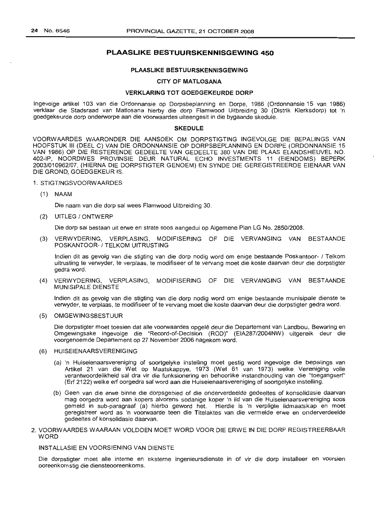### **PLAASLIKE BESTUURSKENNISGEWING 450**

#### **PLAASLIKE BESTUURSKENNISGEWING**

### **CITY OF MATLOSANA**

### **VERKLARING TOT GOEDGEKEURDE DORP**

Ingevolge artikel 103 van die Ordonnansie op Dorpsbeplanning en Dorpe, 1986 (Ordonnansie 15 van 1986) verklaar die Stadsraad *van* Matlosana hierby die dorp Flamwood Uitbreiding 30 (Distrik Klerksdorp) tot 'n goedgekeurde dorp onderworpe aan die voorwaardes uiteengesit in die bygaande skedule.

#### **SKEDULE**

VOORWAARDES WAARONDER DIE AANSOEK OM DORPSTIGTING INGEVOLGE DIE BEPALINGS VAN HOOFSTUK III (DEEL C) VAN DIE ORDONNANSIE OP DORPSBEPLANNING EN DORPE (ORDONNANSIE 15 VAN 1986) OP DIE RESTERENDE GEDEELTE VAN GEDEELTE 380 VAN DIE PLAAS ELANDSHEUVEL NO. 402-IP, NOORDWES PROVINSIE DEUR NATURAL ECHO INVESTMENTS 11 (EIENDOMS) BEPERK 2003/010962/07, (HIERNA DIE DORPSTIGTER GENOEM) EN SYNDE DIE GEREGISTREERDE EIENAAR VAN DIE GROND, GOEDGEKEUR IS.

#### 1. STIGTINGSVOORWAARDES

(1) NAAM

Die naam van die dorp sal wees Flamwood Uitbreiding 30.

### (2) UITLEG / ONTWERP

Die dorp sal bestaan uit erwe en strate soos aangedui op Aigemene Plan LG No. *2850/2008.*

(3) VERWYDERING, VERPLASING, MODIFISERING OF DIE VERVANGING VAN BESTAANDE POSKANTOOR- / TELKOM UITRUSTING

Indien dit as gevolg van die stigting van die dorp nodig word om enige bestaande Poskantoor- / Telkom uitrusting te verwyder, te verplaas, te modifiseer of te vervang moet die koste daarvan deur die dorpstigter gedra word.

(4) VERWYDERING, VERPLASING, MODIFISERING OF DIE VERVANGING VAN BESTAANDE MUNISIPALE DIENSTE

Indien dit as gevolg van die stigting van die dorp nodig word om enige bestaande munisipale dienste te verwyder, te verplaas, te modifiseer of te vervang moet die koste daarvan deur die dorpstigter gedra word.

### (5) OMGEWINGSBESTUUR

Die dorpstigter moet toesien dat aile voorwaardes opqele deur die Departement van Landbou, Bewaring en Omgewingsake ingevolge die "Record-of-Decision (ROD)" (EIA287/2004NW) uitgereik deur die voorgenoemde Departement op 27 November 2006 nagekom word.

#### (6) HUISEIENAARSVERENIGING

- (a) 'n Huiseienaarsvereniging of soortgelyke instelling moet gestig word ingevolge die bepalings van Artikel 21 van die Wet op Maatskappye, 1973 (Wet 61 van 1973) welke Vereniging volle verantwoordelikheid sal dra vir die funksionering en behoorlike instandhouding van die "toegangserf' (Erf 2122) welke erf oorgedra sal word aan die Huiseienaarsvereniging of soortgelyke instelling.
- (b) Geen van die erwe binne die dorpsgebied of die onderverdeelde gedeeltes of konsolidasie daarvan mag oorgedra word aan kopers alvorens sodanige koper 'n lid van die Huiseienaarsvereniging soos gemeld in sub-paragraaf (a) hierbo geword het. Hierdie is 'n verpligte lidmaatskap en moet geregistreer word as 'n voorwaarde teen die Titelaktes *van* die vermelde erwe en onderverdeelde gedeeltes of konsolidasie daarvan.
- 2. VOORWAARDES WAARAAN VOLDOEN MOET WORD VOOR DIE ERWE IN DIE DORP REGISTREERBAAR WORD

### INSTALLASIE EN VOORSIENING VAN DIENSTE

Die dorpstigter moet aile interne en eksterne ingenieursdienste in of vir die dorp installeer en voorsien ooreenkomstig die diensteooreenkoms.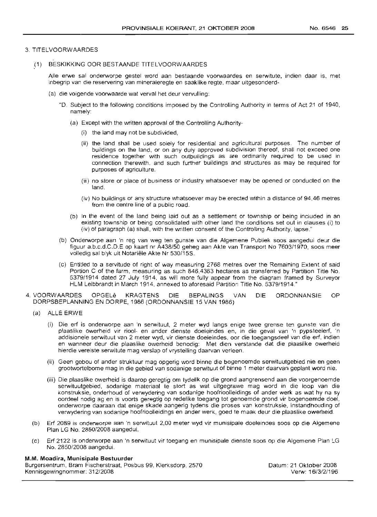### 3. TITELVOORWAARDES

(1) BESKIKKING OOR BESTAANDE TITELVOORWAARDES

Aile erwe sal onderworpe gestel word aan bestaande voorwaardes en serwitute, indien daar is, met inbegrip van die reservering van mineraleregte en saaklike regte, maar uitgesonderd-

- (a) die volgende voorwaarde wat verval het deur vervulling:
	- "D. Subject to the following conditions imposed by the Controlling Authority in terms of Act 21 of 1940, namely:
		- (a) Except with the written approval of the Controlling Authority-
			- (i) the land may not be subdivided,
			- (ii) the land shall be used solely for residential and agricuitural purposes. The number of buildings on the land, or on any duly approved subdivision thereof, shall not exceed one residence together with such outbuildings as are ordinarily required to be used in connection therewith. and such further buildings and structures as may be required for purposes of agriculture.
			- (iii) no store or place of business or industry whatsoever may be opened or conducted on the land.
			- (iv) No buildings or any structure whatsoever may be erected within a distance of 94,46 metres from the centre line of a public road.
		- (b) In the event of the land being laid out as a settlement or township or being included in an existing township or being consolidated with other land the conditions set out in clauses (i) to (iv) of paragraph (a) shall, with the written consent of the Controlling Authority, lapse."
	- (b) Onderworpe aan 'n reg van weg ten gunste van die Algemene Publiek soos aangedui deur die figuur a.b.c.d.CD.E op kaart nr A438/50 geheg aan Akte van Transport No 7603/1970, soos meer volledig sal blyk uit Notariele Akte Nr 530/15S.
	- (c) Entitled to a servitude of right of way measuring 2768 metres over the Remaining Extent of said Portion C of the farm, measuring as such 846,4363 hectares as transferred by Partition Title No. 5379/1914 dated 27 July 1914, as will more fully appear from the diagram framed by Surveyor HLM Leibbrandt in March 1914, annexed to aforesaid Partition Title No. 5379/1914."
- 4. VOORWAARDES OPGELe KRAGTENS DIE BEPALINGS VAN DIE ORDONNANSIE OP DORPSBEPLANNING EN DORPE, 1986 (ORDONNANSIE 15 VAN 1986)
	- (a) ALLE ERWE
		- (i) Die erf is onderworpe aan 'n serwituut, 2 meter wyd langs enige twee grense ten gunste van die plaaslike owerheid vir riool- en ander dienste doeleindes en, in die geval van 'n pypsteelerf, 'n addisionele serwituut van 2 meter wyd, vir dienste doeleindes, oor die toegangsdeel van die erf, indien en wanneer deur die plaaslike owerheid benodig: Met dien verstande dat die plaaslike owerheid hierdie vereiste serwitute mag verslap of vrystelling daarvan verleen.
		- (ii) Geen gebou of ander struktuur mag opgerig word binne die bogenoemde serwituutgebied nie en geen grootwortelbome mag in die gebied van sodanige serwituut of binne 1 meter daarvan geplant word nie.
		- (iii) Die plaaslike owerheid is daarop geregtig om tydelik op die grond aangrensend aan die voorgenoemde serwituutgebied, sodanige materiaal te stort as wat uitgegrawe mag word in die loop van die konstruksie, onderhoud of verwydering van sodanige hoofrioolleidings of ander werk as wat hy na sy oordeel nodig ag en is voorts geregtig op redelike toegang tot genoemde grond vir bogenoemde doel, onderworpe daaraan dat enige skade aangerig tydens die proses van konstruksie, instandhouding of verwydering van sodanige hoofrioolleidings en ander werk, goed te maak deur die plaaslike owerheid
	- (b) Erf 2089 is onderworpe aan 'n serwituut 2,00 meter wyd vir munisipale doeleindes soos op die Aigemene Plan LG No. 2850/2008 aangedui.
	- (c) Erf 2122 is onderworpe aan 'n serwituut vir toegang en munisipale dienste soos op die Aigemene Plan LG No. 2850/2008 aangedui.

#### M.M. Moadira, Munisipale Bestuurder

Burgersentrum, Bram Fischerstraat, Posbus 99, Klerksdorp, 2570 Kennisgewingnommer: 312/2008

Datum: 21 Oktober 2008 Verw: 16/3/2/196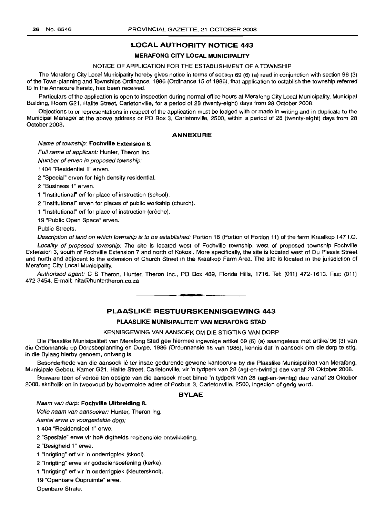### **LOCAL AUTHORITY NOTICE 443**

#### **MERAFONG CITY LOCAL MUNICIPALITY**

### NOTICE OF APPLICATION FOR THE ESTABLISHMENT OF A TOWNSHIP

The Merafong City Local Municipality hereby gives notice in terms of section 69 (6) (a) read in conjunction with section 96 (3) of the Town-planning and Townships Ordinance, 1986 (Ordinance 15 of 1986), that application to establish the township referred to in the Annexure hereto, has been received.

Particulars of the application is open to inspection during normal office hours at Merafong City Local Municipality, Municipal Building, Room G21, Halite Street, Carletonville, for a period of 28 (twenty-eight) days from 28 October 2008.

Objections to or representations in respect of the application must be lodged with or made in writing and in duplicate to the Municipal Manager at the above address or PO Box 3, Carletonville, 2500, within a period of 28 (twenty-eight) days from 28 October 2008.

#### **ANNEXURE**

#### Name of township: **Fochville Extension** 8.

Full name of applicant: Hunter, Theron Inc.

Number of erven in proposed township:

1404 "Residential 1" erven.

2 "Special" erven for high density residential.

2 "Business 1" erven.

1 "Institutional" ert for place of instruction (school).

2 "Institutional" erven for places of public workship (church).

1 "Institutional" erf for place of instruction (crèche).

19 "Public Open Space" erven.

Public Streets.

Description of land on which township is to be established: Portion 16 (Portion of Portion 11) of the farm Kraalkop 147 I.Q.

Locality of proposed township: The site is located west of Fochville township, west of proposed township Fochville Extension 3, south of Fochville Extension 7 and north of Kokosi. More specifically, the site is located west of Du Plessis Street and north and adjacent to the extension of Church Street in the Kraalkop Farm Area. The site is located in the jurisdiction of Merafong City Local Municipality.

Authorised agent: C S Theron, Hunter, Theron Inc., PO Box 489, Florida Hills, 1716. Tel: (011) 472-1613. Fax: (011) 472-3454. E-mail: nita@huntertheron.co.za

### **PLAASLIKE BESTUURSKENNISGEWING 443**

**•**

### **PLAASLIKE MlINISIPALITEIT VAN MERAFONG STAD**

### KENNISGEWING VAN AANSOEK OM DIE STIGTING VAN DORP

Die Plaaslike Munisipaliteit van Merafong Stad gee hiermee ingevolge artikel 69 (6) (a) saamgelees met artikel 96 (3) van die Ordonnansie op Dorpsbeplanning en Dorpe, 1986 (Ordonnansie 15 van 1986), kennis dat 'n aansoek om die dorp te stig, in die Bylaag hierby genoem, ontvang is.

Besonderhede van die aansoek lê ter insae gedurende gewone kantoorure by die Plaaslike Munisipaliteit van Merafong, Munisipale Gebou, Kamer G21, Halite Street, Carletonville, vir 'n tydperk van 28 (agt-en-twintig) dae vanaf 28 Oktober 2008.

Besware teen of vertoë ten opsigte van die aansoek moet binne 'n tydperk van 28 (agt-en-twintig) dae vanaf 28 Oktober 2008, skriftelik en in tweevoud by bovermelde adres of Posbus 3, Carletonville, 2500, ingedien of gerig word.

### **BYLAE**

#### Naam van dorp: **Fochville Uitbreiding** B.

Volle naam van aansoeker: Hunter, Theron Ing.

Aantal erwe in voorgestelde dorp:

1 404 "Residensieel 1" erwe.

2 "Spesiale" erwe vir hoë digtheids residensiële ontwikkeling.

2 "Besigheid 1" erwe.

1 "Inrigting" ert vir 'n onderrigplek (skool).

2 "Inrigting" erwe vir godsdiensoefening (kerke).

1 "Inrigting" ert vir 'n onderrigplek (kleuterskool).

19 "Openbare Oopruimte" erwe.

Openbare Strate.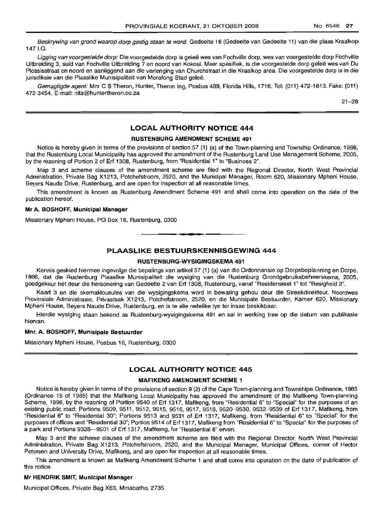Beskrywing van grond waarop dorp gestig staan te word: Gedeelte 16 (Gedeelte van Gedeelte 11) van die plaas Kraalkop 1471.0.

Ligging van voorgestelde dorp: Die voorgestelde dorp is geleë wes van Fochville dorp, wes van voorgestelde dorp Fochville Uitbreiding 3, suid van Fochville Uitbreiding 7 en noord van Kokosi. Meer spesifiek, is die voorgestelde dorp gelee wes van Du Plessisstraat en noord en aanliggend aan die verlenging van Churchstraat in die Kraalkop area. Die voorgestelde dorp is in die jurisdiksie van die Plaaslike Munisipaliteit van Merafong Stad geleë.

Gemagtigde agent: Mnr C S Theron, Hunter, Theron Ing, Posbus 489, Florida Hills, 1716. Tel: (011) 472-1613. Faks: (011) 472-3454. E-mail: nita@huntertheron.co.za

21-28

### **LOCAL AUTHORITY NOTICE 444**

### **RUSTENBURG AMENDMENT SCHEME 491**

Notice is hereby given in terms of the provisions of section 57 (1) (a) of the Town-planning and Township Ordinance, 1986, that the Rustenburg Local Municipality has approved the amendment of the Rustenburg Land Use Management Scheme, 2005, by the rezoning of Portion 2 of Erf 1308, Rustenburg, from "Residential 1" to "Business 2".

Map 3 and scheme clauses of the amendment scheme are filed with the Regional Director, North West Provincial Administration, Private Bag X1213, Potchefstroom, 2520, and the Municipal Manager, Room 620, Missionary Mpheni House, Beyers Naude Drive, Rustenburg, and are open for inspection at all reasonable times.

This amendment is known as Rustenburg Amendment Scheme 491 and shall come into operation on the date of the publication hereof.

#### **Mr A. BOSHOFF, Municipal Manager**

Missionary Mpheni House, PO Box 16, Rustenburg, 0300

### **PLAASLIKE BESTUURSKENNISGEWING 444**

.**- .**

### **RUSTENBURG-WYSIGINGSKEMA 491**

Kennis geskied hiermee ingevolge die bepalings van artikel 57 (1) (a) van die Ordonnansie op Dorpsbeplanning en Dorpe, 1986, dat die Rustenburg Plaaslike Munisipaliteit die wysiging van die Rustenburg Grondgebruiksbeheerskema, 2005, goedgekeur het deur die hersonering van Gedeelte 2 van Erf 1308, Rustenburg, vanaf "Residensieel 1" tot "Besigheid 2".

Kaart 3 en die skemaklousules van die wysigingskema word in bewaring gehou deur die Streekdirekteur, Noordwes Provinsiale Administrasie, Privaatsak X1213, Potchefstroom, 2520, en die Munisipale Bestuurder, Kamer 620, Missionary Mpheni House, Beyers Naude Drive, Rustenburg, en is te aile redelike tye ter insae beskikbaar.

Hierdie wysiging staan bekend as Rustenburg-wysigingskema 491 en sal in werking tree op die datum van publikasie hiervan.

#### **Mnr. A. BOSHOFF, Munisipale Bestuurder**

Missionary Mpheni House, Posbus 16, Rustenburg, 0300

### **LOCAL AUTHORITY NOTICE 445**

### **MAFIKENG AMENDMENT SCHEME 1**

Notice is hereby given in terms of the provisions of section 9 (2) of the Cape Town-planning and Townships Ordinance, 1985 (Ordinance 15 of 1985) that the Mafikeng Local Municipality has approved the amendment of the Mafikeng Town-planning Scheme, 1998, by the rezoning of Portion 9540 of Erf 1317, Mafikeng, from "Residential 6" to "Special" for the purposes of an existing public road: Portions 9509, 9511, 9512, 9515, 9516, 9517, 9518, 9520-9530, 9532-9539 of Erf 1317, Mafikeng, from "Residential 6" to "Residential 30"; Portions 9513 and 9531 of Erf 1317, Mafikeng, from "Residential 6" to "Special" for the purposes of offices and "Residential 30"; Portion 9514 of Erf 1317, Mafikeng from "Residential 6" to "Special" for the purposes of a park and Portions 9328-9501 of Erf 1317, Mafikeng, for "Residential 6" erven.

Map 3 and the scheme clauses of the amendment scheme are filed with the Regional Director, North West Provincial Administration, Private Bag X1213, Potchefstroom, 2520, and the Municipal Manager, Municipal Offices, corner of Hector Petersen and University Drive, Mafikeng, and are open for inspection at all reasonable times.

This amendment is known as Mafikeng Amendment Scheme 1 and shall come into operation on the date of publication of this notice.

#### **Mr HENDRIK SMIT, Municipal Manager**

Municipal Offices, Private Bag X63, Mmabatho, 2735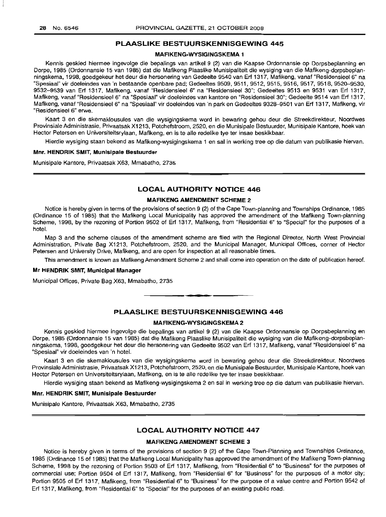### **PLAASLIKE BESTUURSKENNISGEWING 445**

#### **MAFIKENG-WYSIGINGSKEMA** 1

Kennis geskied hiermee ingevolge die bepalings van artikel 9 (2) van die Kaapse Ordonnansie op Dorpsbeplanning en Dorpe, 1985 (Ordonnansie 15 van 1985) dat die Mafikeng Plaaslike Munisipaliteit die wysiging van die Mafikeng-dorpsbeplanningskema, 1998, goedgekeur het deur die hersonering van Gedeelte 9540 van Erf 1317, Mafikeng, vanaf "ResidensieeI6" na "Spesiaal" vir doeleindes van 'n bestaande openbare pad; Gedeeltes 9509, 9511, 9512, 9515, 9516, 9517, 9518, 9520-9530, *9532-9539* van Erf 1317, Mafikeng, vanaf "Residensieel 6" na "Residensieel 30"; Gedeeltes 9513 en 9531 van Erf 1317, Mafikeng, vanaf "Residensieel 6" na "Spesiaal" vir doeleindes van kantore en "ResidensieeI30"; Gedeelte 9514 van Erf 1317, Mafikeng, vanaf "Residensieel 6" na "Spesiaal" vir doeleindes van 'n park en Gedeeltes 9328-9501 van Erf 1317, Mafikeng, vir "Residensieel 6" erwe.

Kaart 3 en die skemaklousules van die wysigingskema word in bewaring gehou deur die Streekdirekteur, Noordwes Provinsiale Administrasie, Privaatsak X1213, Potchefstroom, 2520, en die Munisipale Bestuurder, Munisipale Kantore, hoek van Hector Petersen en Universiteitsrylaan, Mafikeng, en is te aile redelike tye ter insae beskikbaar.

Hierdie wysiging staan bekend as Mafikeng-wysigingskema 1 en sal in werking tree op die datum van publikasie hiervan.

#### **Mnr. HENDRIK SMIT, Munisipale Bestuurder**

Munisipale Kantore, Privaatsak X63, Mmabatho, 2735

### **LOCAL AUTHORITY NOTICE 446**

### **MAFIKENG AMENDMENT SCHEME** 2

Notice is hereby given in terms of the provisions of section 9 (2) of the Cape Town-planning and Townships Ordinance, 1985 (Ordinance 15 of 1985) that the Mafikeng Local Municipality has approved the amendment of the Mafikeng Town-planning Scheme, 1998, by the rezoning of Portion 9502 of Erf 1317, Mafikeng, from "Residential 6" to "Special" for the purposes of a hotel.

Map 3 and the scheme clauses of the amendment scheme are filed with the Regional Director, North West Provincial Administration, Private Bag X1213, Potchefstroom, 2520, and the Municipal Manager, Municipal Offices, corner of Hector Petersen and University Drive, Mafikeng, and are open for inspection at all reasonable times.

This amendment is known as Mafikeng Amendment Scheme 2 and shall come into operation on the date of publication hereof.

### **Mr HENDRIK SMIT, Municipal Manager**

Municipal Offices, Private Bag X63, Mmabatho, 2735

### **PLAASLIKE BESTUURSKENNISGEWING 446**

.**- .**

#### **MAFIKENG-WYSIGINGSKEMA** 2

Kennis geskied hiermee ingevolge die bepalings van artikel 9 (2) van die Kaapse Ordonnansie op Dorpsbeplanning en Dorpe, 1985 (Ordonnansie 15 van 1985) dat die Mafikeng Plaaslike Munisipaliteit die wysiging van die Mafikeng-dorpsbeplanningskema, 1998, goedgekeur het deur die hersonering van Gedeelte 9502 van Erf 1317, Mafikeng, vanaf "Residensieel 6" na "Spesiaal" vir doeleindes van 'n hotel.

Kaart 3 en die skemaklousules van die wysigingskema word in bewaring gehou deur die Streekdirekteur, Noordwes Provinsiale Administrasie, Privaatsak X1213, Potchefstroom, 2520, en die Munisipale Bestuurder, Munisipale Kantore, hoek van Hector Petersen en Universiteitsrylaan, Mafikeng, en is te aile redelike tye ter insae beskikbaar.

Hierdie wysiging staan bekend as Mafikeng-wysigingskema 2 en sal in werking tree op die datum van publikasie hiervan.

#### **Mm. HENDRIK SMIT, Munisipale Bestuurder**

Munisipale Kantore, Privaatsak X63, Mmabatho, 2735

### **LOCAL AUTHORITY NOTICE 447**

#### **MAFIKENG AMENDMENT SCHEME 3**

Notice is hereby given in terms of the provisions of section 9 (2) of the Cape Town-Planning and Townships Ordinance, 1985 (Ordinance 15 of 1985) that the Mafikeng Local Municipality has approved the amendment of the Mafikeng Town-planning Scheme, 1998 by the rezoning of Portion 9503 of Erf 1317, Mafikeng, from "Residential 6" to "Business" for the purposes of commercial use; Portion 9504 of Erf 1317, Mafikeng, from "Residential 6" for "Business" for the purposes of a motor city; Portion 9505 of Erf 1317, Mafikeng, from "Residential 6" to "Business" for the purpose of a value centre and Portion 9542 of Erf 1317, Mafikeng, from "Residential 6" to "Special" for the purposes of an existing public road.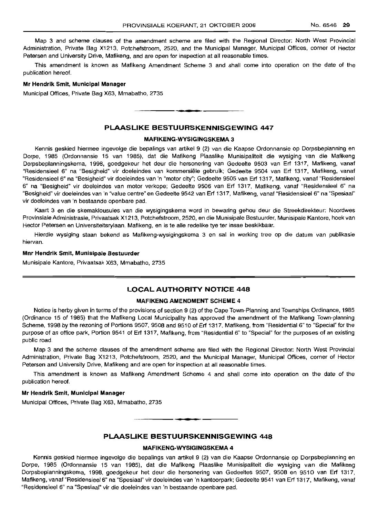Map 3 and scheme clauses of the amendment scheme are filed with the Regional Director: North West Provincial Administration, Private Bag X1213, Potchefstroom, 2520, and the Municipal Manager, Municipal Offices, corner of Hector Petersen and University Drive, Mafikeng, and are open for inspection at all reasonable times.

This amendment is known as Mafikeng Amendment Scheme 3 and shall come into operation on the date of the publication hereof.

#### Mr Hendrik Smit, Municipal Manager

Municipal Offices, Private Bag X63, Mmabatho, 2735

### PLAASLIKE BESTUURSKENNISGEWING 447

**.-**

### MAFIKENG-WYSIGINGSKEMA 3

Kennis geskied hiermee ingevolge die bepalings van artikel 9 (2) van die Kaapse Ordonnansie op Dorpsbeplanning en Dorpe, 1985 (Ordonnansie 15 van 1985), dat die Mafikeng Plaaslike Munisipaliteit die wysiging van die Mafikeng Dorpsbeplanningskema, 1998, goedgekeur het deur die hersonering van Gedeelte 9503 van Erf 1317, Mafikeng, vanaf "Residensieel 6" na "Besiqheid" vir doeleindes van komrnersiele gebruik; Gedeelte 9504 van Erf 1317, Mafikeng, vanaf "Residensieel 6" na "Besigheid" vir doeleindes van 'n "motor city"; Gedeelte 9505 van Erf 1317, Mafikeng, vanaf "Residensieel 6" na "Besigheid" vir doeleindes van motor verkope; Gedeelte 9506 van Erf 1317, Mafikeng, vanaf "Residensieel 6" na "Besigheid" vir doeleindes van 'n "value centre" en Gedeelte 9542 van Erf 1317, Mafikeng, vanaf "Residensieel 6" na "Spesiaal" vir doeleindes van 'n bestaande openbare pad.

Kaart 3 en die skemaklousules van die wysigingskema word in bewaring gehou deur die Streekdirekteur: Noordwes Provinsiale Administrasie, Privaatsak X1213, Potchefstroom, 2520, en die Munisipale Bestuurder, Munisipale Kantore, hoek van Hector Petersen en Universiteitsrylaan, Mafikeng, en is te alle redelike tye ter insae beskikbaar.

Hierdie wysiging staan bekend as Mafikeng-wysigingskema 3 en sal in werking tree op die datum van publikasie hiervan.

#### Mnr Hendrik Smit, Munisipale Bestuurder

Munisipale Kantore, Privaatsak X63, Mmabatho, 2735

### LOCAL AUTHORITY NOTICE 448

### MAFIKENG AMENDMENT SCHEME 4

Notice is herby given in terms of the provisions of section 9 (2) of the Cape Town-Planning and Townships Ordinance, 1985 (Ordinance 15 of 1985) that the Mafikeng L.ocal Municipality has approved the amendment of the Mafikeng Town-planning Scheme, 1998 by the rezoning of Portions 9507, 9508 and 9510 of Erf 1317, Mafikeng, from "Residential 6" to "Special" for the purpose of an office park, Portion 9541 of Erf 1317, Mafikeng, from "Residential 6" to "Special" for the purposes of an existing public road.

Map 3 and the scheme clauses of the amendment scheme are filed with the Regional Director: North West Provincial Administration, Private Bag X1213, Potchefstroom, 2520, and the Municipal Manager, Municipal Offices, corner of Hector Petersen and University Drive, Mafikeng and are open for inspection at all reasonable times.

This amendment is known as Mafikeng Amendment Scheme 4 and shall come into operation on the date of the publication hereof.

#### Mr Hendrik Smit, Municipal Manager

Municipal Offices, Private Bag X63, Mmabatho, 2735

### PLAASLIKE BESTUURSKENNISGEWING 448

• **- I**

### MAFIKENG-WYSIGINGSKEMA 4

Kennis geskied hierrnee ingevolge die bepalings van artikel 9 (2) van die Kaapse Ordonnansie op Dorpsbeplanning en Dorpe, 1985 (Ordonnansie 15 van 1985), dat die Mafikeng Plaaslike Munisipaliteit die wysiging van die Mafikeng Dorpsbeplanningskema, 1998, goedgekeur het deur die hersonering van Gedeeltes 9507, 9508 en 9510 van Erf 1317, Mafikeng, vanaf "Resiclensieel 6" na "Spesiaal" vir doeleindes van 'n kantoorpark; Gedeelte 9541 van Erf 1317, Mafikeng, vanaf "Residensieel 6" na "Spesiaal" vir die doeleindes van 'n bestaande openbare pad.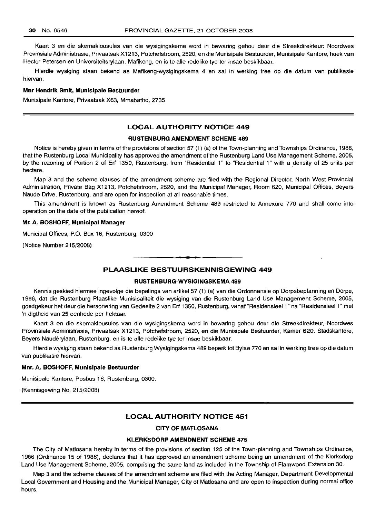Kaart 3 en die skemaklousules van die wysigingskema word in bewaring gehou deur die Streekdirekteur: Noordwes Provinsiale Administrasie, Privaatsak X1213, Potchefstroom, 2520, en die Munisipale Bestuurder, Munisipale Kantore, hoek van Hector Petersen en Universiteitsrylaan, Mafikeng, en is te aile redelike tye ter insae beskikbaar.

Hierdie wysiging staan bekend as Mafikeng-wysigingskema 4 en sal in werking tree op die datum van publikasie hiervan.

### **Mnr Hendrik Smit, Munisipale Bestuurder**

Munisipale Kantore, Privaatsak X63, Mmabatho, 2735

### **LOCAL AUTHORITY NOTICE 449**

### **RUSTENBURG AMENDMENT SCHEME 489**

Notice is hereby given in terms of the provisions of section 57 (1) (a) of the Town-planning and Townships Ordinance, 1986, that the Rustenburg Local Municipality has approved the amendment of the Rustenburg Land Use Management Scheme, 2005, by the rezoning of Portion 2 of Erf 1350, Rustenburg, from "Residential 1" to "Residential 1" with a density of 25 units per hectare.

Map 3 and the scheme clauses of the amendment scheme are filed with the Regional Director, North West Provincial Administration, Private Bag X1213, Potchefstroom, 2520, and the Municipal Manager, Room 620, Municipal Offices, Beyers Naude Drive, Rustenburg, and are open for inspection at all reasonable times.

This amendment is known as Rustenburg Amendment Scheme 489 restricted to Annexure 770 and shall come into operation on the date of the publication hereof.

### **Mr. A. BOSHOFF, Municipal Manager**

Municipal Offices, P.O. Box 16, Rustenburg, 0300

(Notice Number 215/2008)

### **PLAASLIKE BESTUURSKENNISGEWING 449**

.**-.**

#### **RUSTENBURG-WYSIGINGSKEMA 489**

Kennis geskied hiermee ingevolge die bepalings van artikel 57 (1) (a) van die Ordonnansie op Dorpsbeplanning en Dorpe, 1986, dat die Rustenburg Plaaslike Munisipaliteit die wysiging van die Rustenburg Land Use Management Scheme, 2005, goedgekeur het deur die hersonering van Gedeelte 2 van Erf 1350, Rustenburg, vanaf "Residensieel 1" na "ResidensieeI1" met 'n digtheid van 25 eenhede per hektaar.

Kaart 3 en die skemaklousules van die wysigingskema word in bewaring gehou deur die Streekdirekteur, Noordwes Provinsiale Administrasie, Privaatsak X1213, Potchefstroom, 2520, en die Munisipale Bestuurder, Kamer 620, Stadskantore, Beyers Nauderylaan, Rustenburg, en is te aile redelike tye ter insae beskikbaar.

Hierdie wysiging staan bekend as Rustenburg Wysigingskema 489 beperk tot Bylae 770 en sal in werking tree op die datum van publikasie hiervan.

#### **Mnr. A. BOSHOFF, Munisipale Bestuurder**

Munisipale Kantore, Posbus 16, Rustenburg, 0300.

(Kennisgewing No. 215/2008)

### **LOCAL AUTHORITY NOTICE 451**

#### **CITY OF MATLOSANA**

#### **KLERKSDORP AMENDMENT SCHEME 475**

The City of Matlosana hereby in terms of the provisions of section 125 of the Town-planning and Townships Ordinance, 1986 (Ordinance 15 of 1986), declares that it has approved an amendment scheme being an amendment of the Klerksdorp Land Use Management Scheme, 2005, comprising the same land as included in the Township of Flamwood Extension 30.

Map 3 and the scheme clauses of the amendment scheme are filed with the Acting Manager, Department Developmental Local Government and Housing and the Municipal Manager, City of Matlosana and are open to inspection during normal office hours.